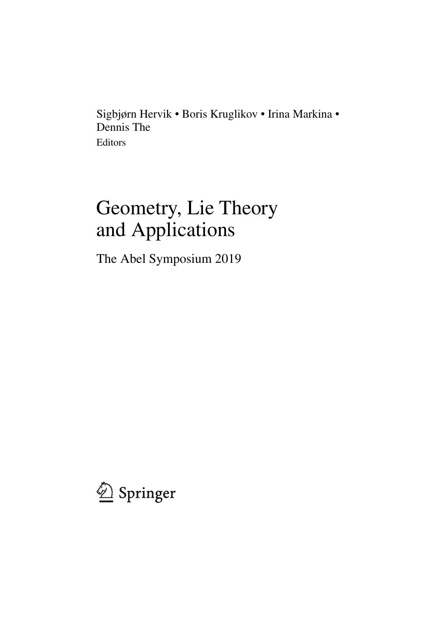Sigbjørn Hervik • Boris Kruglikov • Irina Markina • Dennis The Editors

# Geometry, Lie Theory and Applications

The Abel Symposium 2019

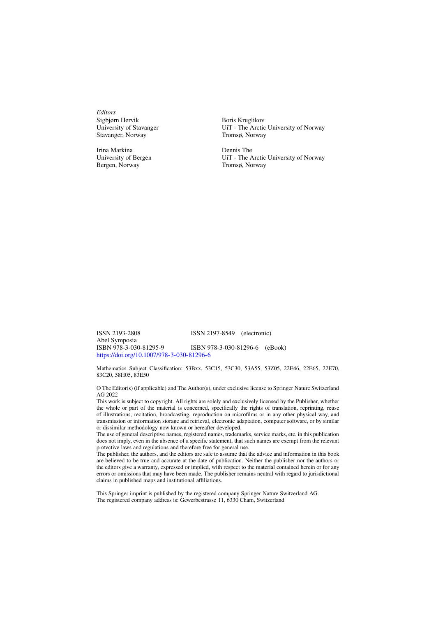*Editors* Sigbjørn Hervik University of Stavanger Stavanger, Norway

Irina Markina University of Bergen Bergen, Norway

Boris Kruglikov UiT - The Arctic University of Norway Tromsø, Norway

Dennis The UiT - The Arctic University of Norway Tromsø, Norway

ISSN 2193-2808 ISSN 2197-8549 (electronic) Abel Symposia ISBN 978-3-030-81295-9 ISBN 978-3-030-81296-6 (eBook) https://doi.org/10.1007/978-3-030-81296-6

Mathematics Subject Classification: 53Bxx, 53C15, 53C30, 53A55, 53Z05, 22E46, 22E65, 22E70, 83C20, 58H05, 83E50

© The Editor(s) (if applicable) and The Author(s), under exclusive license to Springer Nature Switzerland AG 2022

This work is subject to copyright. All rights are solely and exclusively licensed by the Publisher, whether the whole or part of the material is concerned, specifically the rights of translation, reprinting, reuse of illustrations, recitation, broadcasting, reproduction on microfilms or in any other physical way, and transmission or information storage and retrieval, electronic adaptation, computer software, or by similar or dissimilar methodology now known or hereafter developed.

The use of general descriptive names, registered names, trademarks, service marks, etc. in this publication does not imply, even in the absence of a specific statement, that such names are exempt from the relevant protective laws and regulations and therefore free for general use.

The publisher, the authors, and the editors are safe to assume that the advice and information in this book are believed to be true and accurate at the date of publication. Neither the publisher nor the authors or the editors give a warranty, expressed or implied, with respect to the material contained herein or for any errors or omissions that may have been made. The publisher remains neutral with regard to jurisdictional claims in published maps and institutional affiliations.

This Springer imprint is published by the registered company Springer Nature Switzerland AG. The registered company address is: Gewerbestrasse 11, 6330 Cham, Switzerland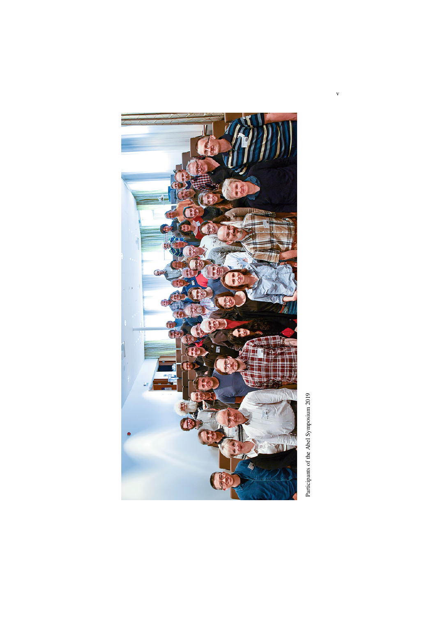

Participants of the Abel Symposium 2019 Participants of the Abel Symposium 2019

v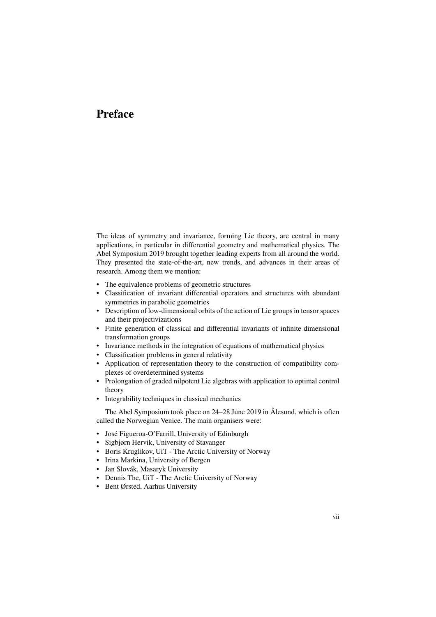# **Preface**

The ideas of symmetry and invariance, forming Lie theory, are central in many applications, in particular in differential geometry and mathematical physics. The Abel Symposium 2019 brought together leading experts from all around the world. They presented the state-of-the-art, new trends, and advances in their areas of research. Among them we mention:

- The equivalence problems of geometric structures
- Classification of invariant differential operators and structures with abundant symmetries in parabolic geometries
- Description of low-dimensional orbits of the action of Lie groups in tensor spaces and their projectivizations
- Finite generation of classical and differential invariants of infinite dimensional transformation groups
- Invariance methods in the integration of equations of mathematical physics
- Classification problems in general relativity
- Application of representation theory to the construction of compatibility complexes of overdetermined systems
- Prolongation of graded nilpotent Lie algebras with application to optimal control theory
- Integrability techniques in classical mechanics

The Abel Symposium took place on 24–28 June 2019 in Ålesund, which is often called the Norwegian Venice. The main organisers were:

- José Figueroa-O'Farrill, University of Edinburgh
- Sigbjørn Hervik, University of Stavanger
- Boris Kruglikov, UiT The Arctic University of Norway
- Irina Markina, University of Bergen
- Jan Slovák, Masaryk University
- Dennis The, UiT The Arctic University of Norway
- Bent Ørsted, Aarhus University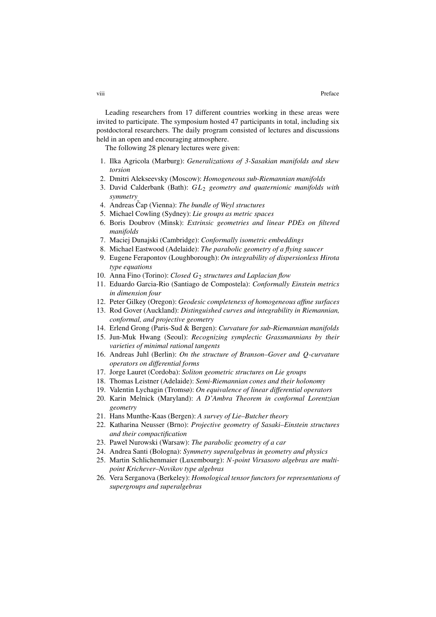Leading researchers from 17 different countries working in these areas were invited to participate. The symposium hosted 47 participants in total, including six postdoctoral researchers. The daily program consisted of lectures and discussions held in an open and encouraging atmosphere.

The following 28 plenary lectures were given:

- 1. Ilka Agricola (Marburg): *Generalizations of 3-Sasakian manifolds and skew torsion*
- 2. Dmitri Alekseevsky (Moscow): *Homogeneous sub-Riemannian manifolds*
- 3. David Calderbank (Bath): GL<sup>2</sup> *geometry and quaternionic manifolds with symmetry*
- 4. Andreas Cap (Vienna): *The bundle of Weyl structures*
- 5. Michael Cowling (Sydney): *Lie groups as metric spaces*
- 6. Boris Doubrov (Minsk): *Extrinsic geometries and linear PDEs on filtered manifolds*
- 7. Maciej Dunajski (Cambridge): *Conformally isometric embeddings*
- 8. Michael Eastwood (Adelaide): *The parabolic geometry of a flying saucer*
- 9. Eugene Ferapontov (Loughborough): *On integrability of dispersionless Hirota type equations*
- 10. Anna Fino (Torino): *Closed* G<sub>2</sub> structures and Laplacian flow
- 11. Eduardo Garcia-Rio (Santiago de Compostela): *Conformally Einstein metrics in dimension four*
- 12. Peter Gilkey (Oregon): *Geodesic completeness of homogeneous affine surfaces*
- 13. Rod Gover (Auckland): *Distinguished curves and integrability in Riemannian, conformal, and projective geometry*
- 14. Erlend Grong (Paris-Sud & Bergen): *Curvature for sub-Riemannian manifolds*
- 15. Jun-Muk Hwang (Seoul): *Recognizing symplectic Grassmannians by their varieties of minimal rational tangents*
- 16. Andreas Juhl (Berlin): *On the structure of Branson–Gover and* Q-*curvature operators on differential forms*
- 17. Jorge Lauret (Cordoba): *Soliton geometric structures on Lie groups*
- 18. Thomas Leistner (Adelaide): *Semi-Riemannian cones and their holonomy*
- 19. Valentin Lychagin (Tromsø): *On equivalence of linear differential operators*
- 20. Karin Melnick (Maryland): *A D'Ambra Theorem in conformal Lorentzian geometry*
- 21. Hans Munthe-Kaas (Bergen): *A survey of Lie–Butcher theory*
- 22. Katharina Neusser (Brno): *Projective geometry of Sasaki–Einstein structures and their compactification*
- 23. Pawel Nurowski (Warsaw): *The parabolic geometry of a car*
- 24. Andrea Santi (Bologna): *Symmetry superalgebras in geometry and physics*
- 25. Martin Schlichenmaier (Luxembourg): N-*point Virsasoro algebras are multipoint Krichever–Novikov type algebras*
- 26. Vera Serganova (Berkeley): *Homological tensor functors for representations of supergroups and superalgebras*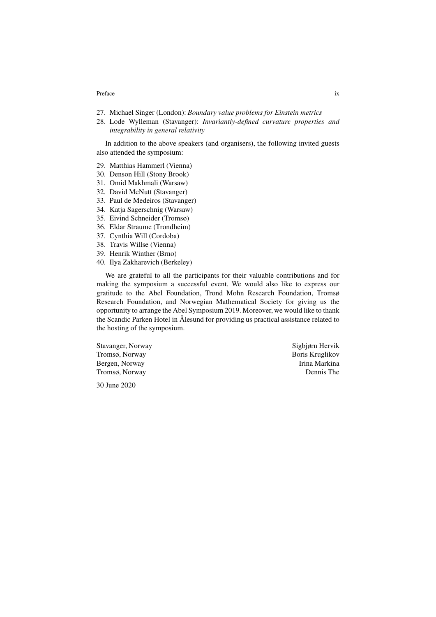#### Preface ix a state of the state of the state of the state of the state of the state of the state of the state of the state of the state of the state of the state of the state of the state of the state of the state of the s

- 27. Michael Singer (London): *Boundary value problems for Einstein metrics*
- 28. Lode Wylleman (Stavanger): *Invariantly-defined curvature properties and integrability in general relativity*

In addition to the above speakers (and organisers), the following invited guests also attended the symposium:

- 29. Matthias Hammerl (Vienna)
- 30. Denson Hill (Stony Brook)
- 31. Omid Makhmali (Warsaw)
- 32. David McNutt (Stavanger)
- 33. Paul de Medeiros (Stavanger)
- 34. Katja Sagerschnig (Warsaw)
- 35. Eivind Schneider (Tromsø)
- 36. Eldar Straume (Trondheim)
- 37. Cynthia Will (Cordoba)
- 38. Travis Willse (Vienna)
- 39. Henrik Winther (Brno)
- 40. Ilya Zakharevich (Berkeley)

We are grateful to all the participants for their valuable contributions and for making the symposium a successful event. We would also like to express our gratitude to the Abel Foundation, Trond Mohn Research Foundation, Tromsø Research Foundation, and Norwegian Mathematical Society for giving us the opportunity to arrange the Abel Symposium 2019. Moreover, we would like to thank the Scandic Parken Hotel in Ålesund for providing us practical assistance related to the hosting of the symposium.

Stavanger, Norway Sigbjørn Hervik Tromsø, Norway Boris Kruglikov Bergen, Norway **Irina Markina** Tromsø, Norway Dennis The

30 June 2020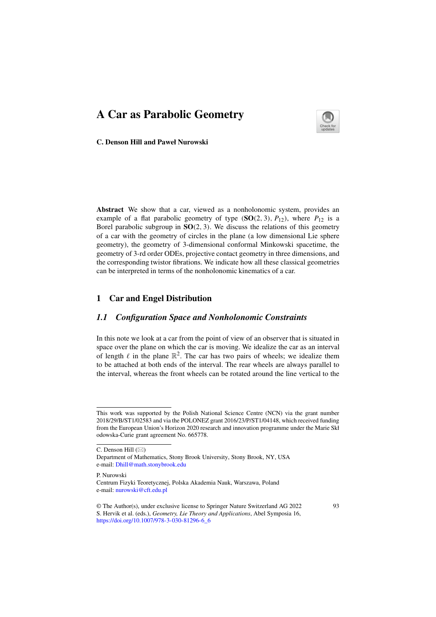

**C. Denson Hill and Paweł Nurowski**

**Abstract** We show that a car, viewed as a nonholonomic system, provides an example of a flat parabolic geometry of type  $(SO(2, 3), P_{12})$ , where  $P_{12}$  is a Borel parabolic subgroup in **SO**(2, 3). We discuss the relations of this geometry of a car with the geometry of circles in the plane (a low dimensional Lie sphere geometry), the geometry of 3-dimensional conformal Minkowski spacetime, the geometry of 3-rd order ODEs, projective contact geometry in three dimensions, and the corresponding twistor fibrations. We indicate how all these classical geometries can be interpreted in terms of the nonholonomic kinematics of a car.

#### **1 Car and Engel Distribution**

# *1.1 Configuration Space and Nonholonomic Constraints*

In this note we look at a car from the point of view of an observer that is situated in space over the plane on which the car is moving. We idealize the car as an interval of length  $\ell$  in the plane  $\mathbb{R}^2$ . The car has two pairs of wheels; we idealize them to be attached at both ends of the interval. The rear wheels are always parallel to the interval, whereas the front wheels can be rotated around the line vertical to the

P. Nurowski

This work was supported by the Polish National Science Centre (NCN) via the grant number 2018/29/B/ST1/02583 and via the POLONEZ grant 2016/23/P/ST1/04148, which received funding from the European Union's Horizon 2020 research and innovation programme under the Marie Skł odowska-Curie grant agreement No. 665778.

C. Denson Hill (�)

Department of Mathematics, Stony Brook University, Stony Brook, NY, USA e-mail: Dhill@math.stonybrook.edu

Centrum Fizyki Teoretycznej, Polska Akademia Nauk, Warszawa, Poland e-mail: nurowski@cft.edu.pl

<sup>©</sup> The Author(s), under exclusive license to Springer Nature Switzerland AG 2022 S. Hervik et al. (eds.), Geometry, Lie Theory and Applications, Abel Symposia 16, https://doi.org/10.1007/978-3-030-81296-6\_6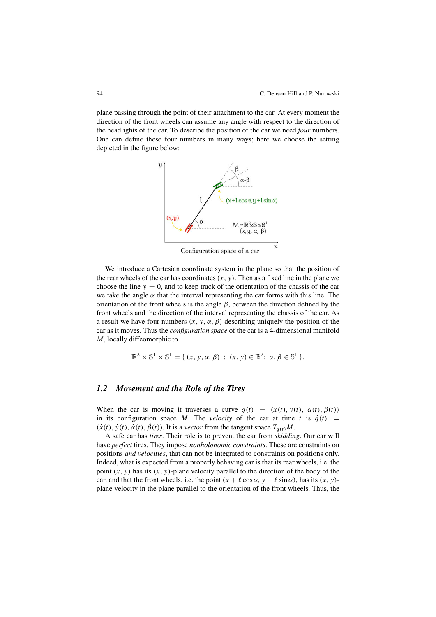plane passing through the point of their attachment to the car. At every moment the direction of the front wheels can assume any angle with respect to the direction of the headlights of the car. To describe the position of the car we need *four* numbers. One can define these four numbers in many ways; here we choose the setting depicted in the figure below:



Configuration space of a car

We introduce a Cartesian coordinate system in the plane so that the position of the rear wheels of the car has coordinates  $(x, y)$ . Then as a fixed line in the plane we choose the line  $y = 0$ , and to keep track of the orientation of the chassis of the car we take the angle  $\alpha$  that the interval representing the car forms with this line. The orientation of the front wheels is the angle  $\beta$ , between the direction defined by the front wheels and the direction of the interval representing the chassis of the car. As a result we have four numbers  $(x, y, \alpha, \beta)$  describing uniquely the position of the car as it moves. Thus the con*fi*guration space of the car is a 4-dimensional manifold M, locally diffeomorphic to

$$
\mathbb{R}^2 \times \mathbb{S}^1 \times \mathbb{S}^1 = \{ (x, y, \alpha, \beta) : (x, y) \in \mathbb{R}^2; \alpha, \beta \in \mathbb{S}^1 \}.
$$

# *1.2 Movement and the Role of the Tires*

When the car is moving it traverses a curve  $q(t) = (x(t), y(t), \alpha(t), \beta(t))$ in its configuration space M. The velocity of the car at time t is  $\dot{q}(t)$  =  $(\dot{x}(t), \dot{y}(t), \dot{\alpha}(t), \dot{\beta}(t))$ . It is a *vector* from the tangent space  $T_{q(t)}M$ .

A safe car has tires. Their role is to prevent the car from skidding. Our car will have perfect tires. They impose nonholonomic constraints. These are constraints on positions and velocities, that can not be integrated to constraints on positions only. Indeed, what is expected from a properly behaving car is that its rear wheels, i.e. the point  $(x, y)$  has its  $(x, y)$ -plane velocity parallel to the direction of the body of the car, and that the front wheels. i.e. the point  $(x + \ell \cos \alpha, y + \ell \sin \alpha)$ , has its  $(x, y)$ plane velocity in the plane parallel to the orientation of the front wheels. Thus, the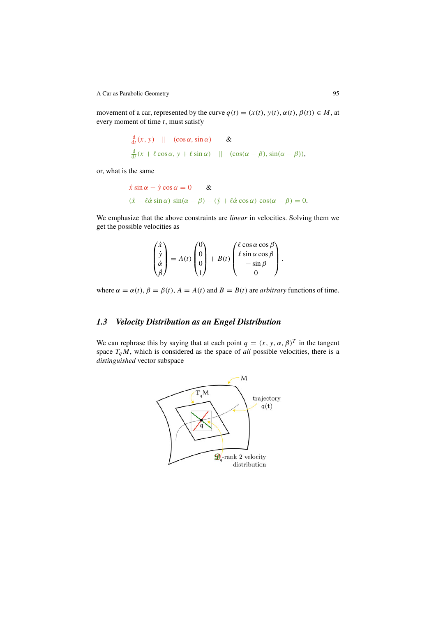movement of a car, represented by the curve  $q(t) = (x(t), y(t), \alpha(t), \beta(t)) \in M$ , at every moment of time  $t$ , must satisfy

$$
\frac{d}{dt}(x, y) \quad || \quad (\cos \alpha, \sin \alpha) \qquad & \& \quad
$$
\n
$$
\frac{d}{dt}(x + \ell \cos \alpha, y + \ell \sin \alpha) \quad || \quad (\cos(\alpha - \beta), \sin(\alpha - \beta)),
$$

or, what is the same

$$
\dot{x}\sin\alpha - \dot{y}\cos\alpha = 0 \quad \&
$$
  
( $\dot{x} - \ell\dot{\alpha}\sin\alpha$ )  $\sin(\alpha - \beta) - (\dot{y} + \ell\dot{\alpha}\cos\alpha) \cos(\alpha - \beta) = 0.$ 

We emphasize that the above constraints are *linear* in velocities. Solving them we get the possible velocities as

$$
\begin{pmatrix} \dot{x} \\ \dot{y} \\ \dot{\alpha} \\ \dot{\beta} \end{pmatrix} = A(t) \begin{pmatrix} 0 \\ 0 \\ 0 \\ 1 \end{pmatrix} + B(t) \begin{pmatrix} \ell \cos \alpha \cos \beta \\ \ell \sin \alpha \cos \beta \\ -\sin \beta \\ 0 \end{pmatrix}.
$$

where  $\alpha = \alpha(t)$ ,  $\beta = \beta(t)$ ,  $A = A(t)$  and  $B = B(t)$  are *arbitrary* functions of time.

# *1.3 Velocity Distribution as an Engel Distribution*

We can rephrase this by saying that at each point  $q = (x, y, \alpha, \beta)^T$  in the tangent space  $T_qM$ , which is considered as the space of all possible velocities, there is a distinguished vector subspace

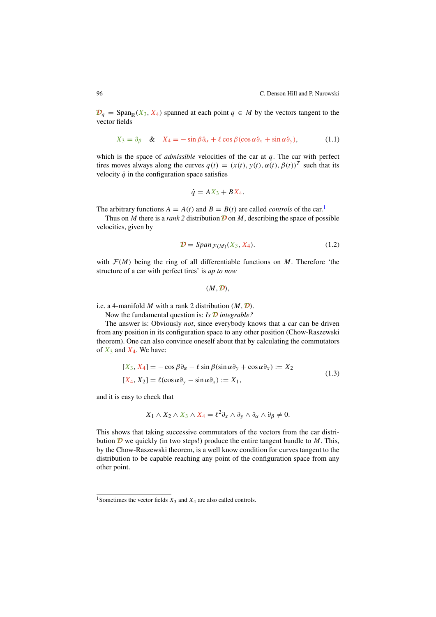96 C. Denson Hill and P. Nurowski

 $\mathcal{D}_q$  = Span<sub>R</sub>(X<sub>3</sub>, X<sub>4</sub>) spanned at each point  $q \in M$  by the vectors tangent to the vector fields

$$
X_3 = \partial_{\beta} \quad \& \quad X_4 = -\sin\beta\partial_{\alpha} + \ell\cos\beta(\cos\alpha\partial_{x} + \sin\alpha\partial_{y}), \tag{1.1}
$$

which is the space of *admissible* velocities of the car at  $q$ . The car with perfect tires moves always along the curves  $q(t) = (x(t), y(t), \alpha(t), \beta(t))^T$  such that its velocity  $\dot{q}$  in the configuration space satisfies

$$
\dot{q}=AX_3+BX_4.
$$

The arbitrary functions  $A = A(t)$  and  $B = B(t)$  are called *controls* of the car.<sup>1</sup>

Thus on M there is a rank 2 distribution  $\mathcal D$  on M, describing the space of possible velocities, given by

$$
\mathcal{D} = Span_{\mathcal{F}(M)}(X_3, X_4). \tag{1.2}
$$

with  $\mathcal{F}(M)$  being the ring of all differentiable functions on M. Therefore 'the structure of a car with perfect tires' is up to now

 $(M, \mathcal{D})$ .

i.e. a 4-manifold M with a rank 2 distribution  $(M, D)$ .

Now the fundamental question is: Is  $\mathcal D$  integrable?

The answer is: Obviously not, since everybody knows that a car can be driven from any position in its configuration space to any other position (Chow-Raszewski theorem). One can also convince oneself about that by calculating the commutators of  $X_3$  and  $X_4$ . We have:

$$
[X_3, X_4] = -\cos\beta\partial_{\alpha} - \ell\sin\beta(\sin\alpha\partial_y + \cos\alpha\partial_x) := X_2
$$
  
\n
$$
[X_4, X_2] = \ell(\cos\alpha\partial_y - \sin\alpha\partial_x) := X_1,
$$
\n(1.3)

and it is easy to check that

$$
X_1 \wedge X_2 \wedge X_3 \wedge X_4 = \ell^2 \partial_x \wedge \partial_y \wedge \partial_\alpha \wedge \partial_\beta \neq 0.
$$

This shows that taking successive commutators of the vectors from the car distribution  $\mathcal D$  we quickly (in two steps!) produce the entire tangent bundle to  $M$ . This, by the Chow-Raszewski theorem, is a well know condition for curves tangent to the distribution to be capable reaching any point of the configuration space from any other point.

<sup>&</sup>lt;sup>1</sup>Sometimes the vector fields  $X_3$  and  $X_4$  are also called controls.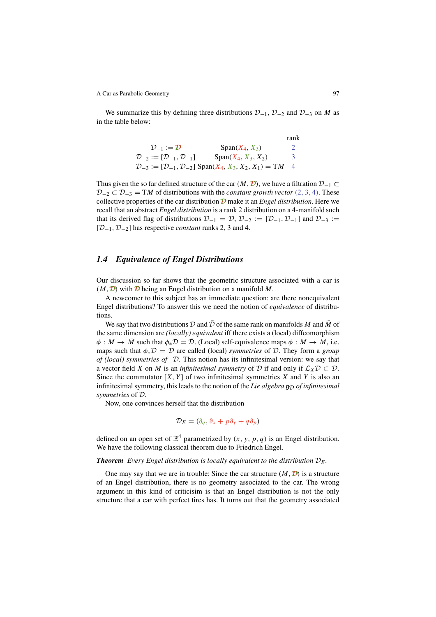We summarize this by defining three distributions  $\mathcal{D}_{-1}$ ,  $\mathcal{D}_{-2}$  and  $\mathcal{D}_{-3}$  on M as in the table below:

|                                                            |                                                                                             | rank          |
|------------------------------------------------------------|---------------------------------------------------------------------------------------------|---------------|
| $\mathcal{D}_{-1} := \mathcal{D}$                          | $Span(X_4, X_3)$                                                                            | $\mathcal{L}$ |
| $\mathcal{D}_{-2} := [\mathcal{D}_{-1}, \mathcal{D}_{-1}]$ | $Span(X_4, X_3, X_2)$                                                                       | 3             |
|                                                            | $\mathcal{D}_{-3} := [\mathcal{D}_{-1}, \mathcal{D}_{-2}]$ Span $(X_4, X_3, X_2, X_1) = TM$ | -4            |

Thus given the so far defined structure of the car  $(M, D)$ , we have a filtration  $D_{-1} \subset$  $D_{-2} \subset D_{-3} = TM$  of distributions with the *constant growth vector* (2, 3, 4). These collective properties of the car distribution  $\mathcal D$  make it an *Engel distribution*. Here we recall that an abstract Engel distribution is a rank 2 distribution on a 4-manifold such that its derived flag of distributions  $\mathcal{D}_{-1} = \mathcal{D}, \mathcal{D}_{-2} := [\mathcal{D}_{-1}, \mathcal{D}_{-1}]$  and  $\mathcal{D}_{-3} :=$  $[D_{-1}, D_{-2}]$  has respective *constant* ranks 2, 3 and 4.

#### *1.4 Equivalence of Engel Distributions*

Our discussion so far shows that the geometric structure associated with a car is  $(M, D)$  with D being an Engel distribution on a manifold M.

A newcomer to this subject has an immediate question: are there nonequivalent Engel distributions? To answer this we need the notion of equivalence of distributions.

We say that two distributions D and  $\bar{D}$  of the same rank on manifolds M and  $\bar{M}$  of the same dimension are (locally) equivalent iff there exists a (local) diffeomorphism  $\phi : M \to \overline{M}$  such that  $\phi_* \mathcal{D} = \overline{\mathcal{D}}$ . (Local) self-equivalence maps  $\phi : M \to M$ , i.e. maps such that  $\phi_* \mathcal{D} = \mathcal{D}$  are called (local) symmetries of  $\mathcal{D}$ . They form a group of (local) symmetries of  $\mathcal D$ . This notion has its infinitesimal version: we say that a vector field X on M is an *infinitesimal symmetry* of D if and only if  $\mathcal{L}_X \mathcal{D} \subset \mathcal{D}$ . Since the commutator  $[X, Y]$  of two infinitesimal symmetries X and Y is also an infinitesimal symmetry, this leads to the notion of the Lie algebra  $\mathfrak{g}_D$  of infinitesimal symmetries of D.

Now, one convinces herself that the distribution

$$
\mathcal{D}_E = (\partial_q, \partial_x + p\partial_y + q\partial_p)
$$

defined on an open set of  $\mathbb{R}^4$  parametrized by  $(x, y, p, q)$  is an Engel distribution. We have the following classical theorem due to Friedrich Engel.

#### **Theorem** Every Engel distribution is locally equivalent to the distribution  $D_E$ .

One may say that we are in trouble: Since the car structure  $(M, D)$  is a structure of an Engel distribution, there is no geometry associated to the car. The wrong argument in this kind of criticisim is that an Engel distribution is not the only structure that a car with perfect tires has. It turns out that the geometry associated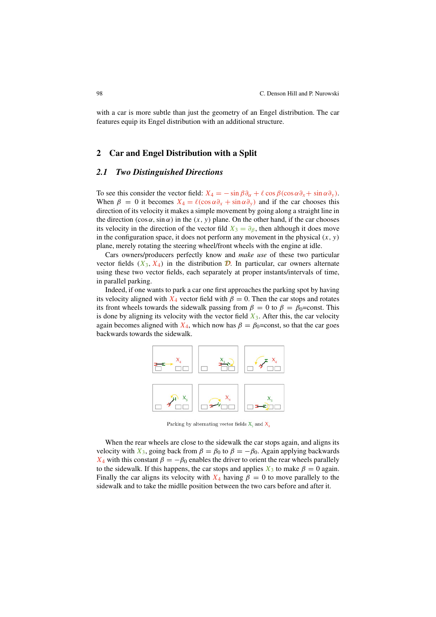with a car is more subtle than just the geometry of an Engel distribution. The car features equip its Engel distribution with an additional structure.

# **2 Car and Engel Distribution with a Split**

## *2.1 Two Distinguished Directions*

To see this consider the vector field:  $X_4 = -\sin \beta \partial_{\alpha} + \ell \cos \beta (\cos \alpha \partial_{\alpha} + \sin \alpha \partial_{\gamma}).$ When  $\beta = 0$  it becomes  $X_4 = \ell(\cos \alpha \partial_x + \sin \alpha \partial_y)$  and if the car chooses this direction of its velocity it makes a simple movement by going along a straight line in the direction  $(\cos \alpha, \sin \alpha)$  in the  $(x, y)$  plane. On the other hand, if the car chooses its velocity in the direction of the vector fild  $X_3 = \partial_\beta$ , then although it does move in the configuration space, it does not perform any movement in the physical  $(x, y)$ plane, merely rotating the steering wheel/front wheels with the engine at idle.

Cars owners/producers perfectly know and make use of these two particular vector fields  $(X_3, X_4)$  in the distribution **D**. In particular, car owners alternate using these two vector fields, each separately at proper instants/intervals of time, in parallel parking.

Indeed, if one wants to park a car one first approaches the parking spot by having its velocity aligned with  $X_4$  vector field with  $\beta = 0$ . Then the car stops and rotates its front wheels towards the sidewalk passing from  $\beta = 0$  to  $\beta = \beta_0$ =const. This is done by aligning its velocity with the vector field  $X_3$ . After this, the car velocity again becomes aligned with  $X_4$ , which now has  $\beta = \beta_0$ =const, so that the car goes backwards towards the sidewalk.



Parking by alternating vector fields  $X_i$  and  $X_i$ 

When the rear wheels are close to the sidewalk the car stops again, and aligns its velocity with  $X_3$ , going back from  $\beta = \beta_0$  to  $\beta = -\beta_0$ . Again applying backwards  $X_4$  with this constant  $\beta = -\beta_0$  enables the driver to orient the rear wheels parallely to the sidewalk. If this happens, the car stops and applies  $X_3$  to make  $\beta = 0$  again. Finally the car aligns its velocity with  $X_4$  having  $\beta = 0$  to move parallely to the sidewalk and to take the midlle position between the two cars before and after it.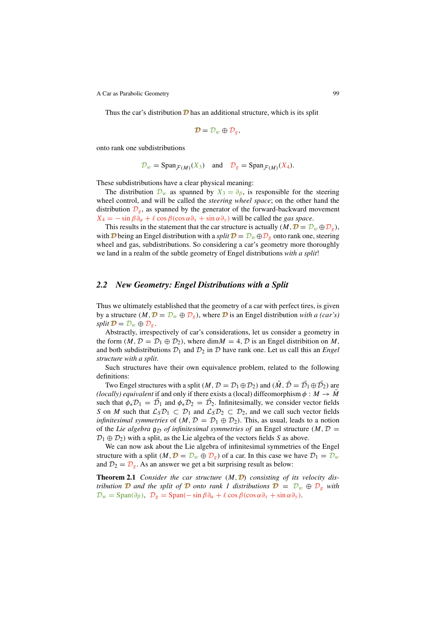Thus the car's distribution  $\mathcal D$  has an additional structure, which is its split

$$
\mathcal{D}=\mathcal{D}_w\oplus \mathcal{D}_g,
$$

onto rank one subdistributions

$$
\mathcal{D}_w = \text{Span}_{\mathcal{F}(M)}(X_3)
$$
 and  $\mathcal{D}_g = \text{Span}_{\mathcal{F}(M)}(X_4)$ .

These subdistributions have a clear physical meaning:

The distribution  $\mathcal{D}_w$  as spanned by  $X_3 = \partial_\beta$ , is responsible for the steering wheel control, and will be called the steering wheel space; on the other hand the distribution  $\mathcal{D}_g$ , as spanned by the generator of the forward-backward movement  $X_4 = -\sin \beta \partial_{\alpha} + \ell \cos \beta (\cos \alpha \partial_{\alpha} + \sin \alpha \partial_{\nu})$  will be called the gas space.

This results in the statement that the car structure is actually  $(M, \mathcal{D} = \mathcal{D}_w \oplus \mathcal{D}_g)$ , with **D** being an Engel distribution with a split  $\mathcal{D} = D_w \oplus D_g$  onto rank one, steering wheel and gas, subdistributions. So considering a car's geometry more thoroughly we land in a realm of the subtle geometry of Engel distributions with a split!

#### *2.2 New Geometry: Engel Distributions with a Split*

Thus we ultimately established that the geometry of a car with perfect tires, is given by a structure  $(M, \mathcal{D} = \mathcal{D}_w \oplus \mathcal{D}_g)$ , where  $\mathcal{D}$  is an Engel distribution with a (car's) split  $\mathcal{D} = \mathcal{D}_w \oplus \mathcal{D}_g$ .

Abstractly, irrespectively of car's considerations, let us consider a geometry in the form  $(M, \mathcal{D} = \mathcal{D}_1 \oplus \mathcal{D}_2)$ , where dim $M = 4, \mathcal{D}$  is an Engel distribition on M, and both subdistributions  $\mathcal{D}_1$  and  $\mathcal{D}_2$  in  $\mathcal D$  have rank one. Let us call this an *Engel* structure with a split.

Such structures have their own equivalence problem, related to the following definitions:

Two Engel structures with a split  $(M, D = D_1 \oplus D_2)$  and  $(M, D = D_1 \oplus D_2)$  are (locally) equivalent if and only if there exists a (local) diffeomorphism  $\phi : M \to \overline{M}$ such that  $\phi_* \mathcal{D}_1 = \mathcal{D}_1$  and  $\phi_* \mathcal{D}_2 = \mathcal{D}_2$ . Infinitesimally, we consider vector fields S on M such that  $\mathcal{L}_S \mathcal{D}_1 \subset \mathcal{D}_1$  and  $\mathcal{L}_S \mathcal{D}_2 \subset \mathcal{D}_2$ , and we call such vector fields *infinitesimal symmetries* of  $(M, D = D_1 \oplus D_2)$ . This, as usual, leads to a notion of the Lie algebra  $g_{\mathcal{D}}$  of infinitesimal symmetries of an Engel structure (M,  $\mathcal{D}$  =  $\mathcal{D}_1 \oplus \mathcal{D}_2$ ) with a split, as the Lie algebra of the vectors fields S as above.

We can now ask about the Lie algebra of infinitesimal symmetries of the Engel structure with a split  $(M, \mathcal{D} = \mathcal{D}_w \oplus \mathcal{D}_g)$  of a car. In this case we have  $\mathcal{D}_1 = \mathcal{D}_w$ and  $\mathcal{D}_2 = \mathcal{D}_{\varrho}$ . As an answer we get a bit surprising result as below:

**Theorem 2.1** Consider the car structure  $(M, D)$  consisting of its velocity distribution **D** and the split of **D** onto rank 1 distributions  $\mathbf{D} = D_w \oplus D_{\alpha}$  with  $\mathcal{D}_w = \text{Span}(\partial_\beta), \ \mathcal{D}_g = \text{Span}(-\sin \beta \partial_\alpha + \ell \cos \beta (\cos \alpha \partial_x + \sin \alpha \partial_y)).$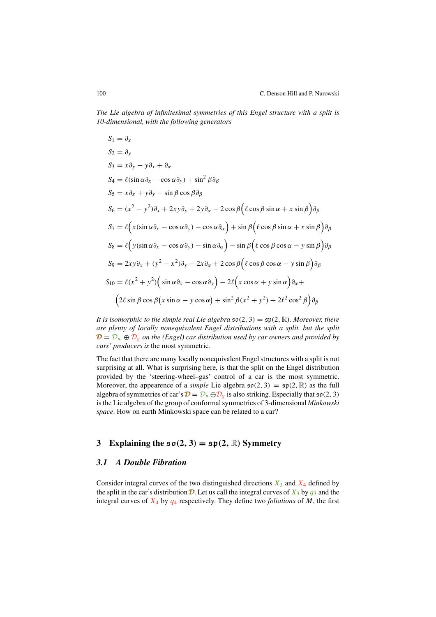The Lie algebra of in*fi*nitesimal symmetries of this Engel structure with a split is 10-dimensional, with the following generators

$$
S_1 = \partial_x
$$
  
\n
$$
S_2 = \partial_y
$$
  
\n
$$
S_3 = x\partial_y - y\partial_x + \partial_\alpha
$$
  
\n
$$
S_4 = \ell(\sin \alpha \partial_x - \cos \alpha \partial_y) + \sin^2 \beta \partial_\beta
$$
  
\n
$$
S_5 = x\partial_x + y\partial_y - \sin \beta \cos \beta \partial_\beta
$$
  
\n
$$
S_6 = (x^2 - y^2)\partial_x + 2xy\partial_y + 2y\partial_\alpha - 2\cos \beta(\ell \cos \beta \sin \alpha + x \sin \beta)\partial_\beta
$$
  
\n
$$
S_7 = \ell(x(\sin \alpha \partial_x - \cos \alpha \partial_y) - \cos \alpha \partial_\alpha) + \sin \beta(\ell \cos \beta \sin \alpha + x \sin \beta)\partial_\beta
$$
  
\n
$$
S_8 = \ell(y(\sin \alpha \partial_x - \cos \alpha \partial_y) - \sin \alpha \partial_\alpha) - \sin \beta(\ell \cos \beta \cos \alpha - y \sin \beta)\partial_\beta
$$
  
\n
$$
S_9 = 2xy\partial_x + (y^2 - x^2)\partial_y - 2x\partial_\alpha + 2\cos \beta(\ell \cos \beta \cos \alpha - y \sin \beta)\partial_\beta
$$
  
\n
$$
S_{10} = \ell(x^2 + y^2)(\sin \alpha \partial_x - \cos \alpha \partial_y) - 2\ell(x \cos \alpha + y \sin \alpha)\partial_\alpha + (2\ell \sin \beta \cos \beta(\alpha \sin \alpha - y \cos \alpha) + \sin^2 \beta(x^2 + y^2) + 2\ell^2 \cos^2 \beta)\partial_\beta
$$

It is isomorphic to the simple real Lie algebra  $\mathfrak{so}(2,3) = \mathfrak{sp}(2,\mathbb{R})$ . Moreover, there are plenty of locally nonequivalent Engel distributions with a split, but the split  $\mathcal{D} = \mathcal{D}_w \oplus \mathcal{D}_g$  on the (Engel) car distribution used by car owners and provided by cars' producers is the most symmetric.

The fact that there are many locally nonequivalent Engel structures with a split is not surprising at all. What is surprising here, is that the split on the Engel distribution provided by the 'steering-wheel–gas' control of a car is the most symmetric. Moreover, the appearence of a *simple* Lie algebra  $\mathfrak{so}(2, 3) = \mathfrak{sp}(2, \mathbb{R})$  as the full algebra of symmetries of car's  $\mathbf{D} = \mathcal{D}_w \oplus \mathcal{D}_g$  is also striking. Especially that  $\mathfrak{so}(2, 3)$ is the Lie algebra of the group of conformal symmetries of 3-dimensional Minkowski space. How on earth Minkowski space can be related to a car?

# **3** Explaining the  $\mathfrak{so}(2,3) = \mathfrak{sp}(2,\mathbb{R})$  Symmetry

## *3.1 A Double Fibration*

Consider integral curves of the two distinguished directions  $X_3$  and  $X_4$  defined by the split in the car's distribution  $\mathcal{D}$ . Let us call the integral curves of  $X_3$  by  $q_3$  and the integral curves of  $X_4$  by  $q_4$  respectively. They define two *foliations* of M, the first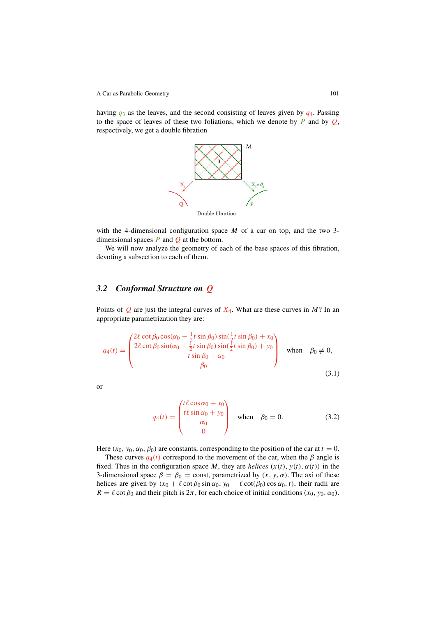having  $q_3$  as the leaves, and the second consisting of leaves given by  $q_4$ . Passing to the space of leaves of these two foliations, which we denote by  $P$  and by  $Q$ , respectively, we get a double fibration



with the 4-dimensional configuration space  $M$  of a car on top, and the two 3dimensional spaces  $P$  and  $Q$  at the bottom.

We will now analyze the geometry of each of the base spaces of this fibration, devoting a subsection to each of them.

# *3.2 Conformal Structure on* Q

Points of  $Q$  are just the integral curves of  $X_4$ . What are these curves in M? In an appropriate parametrization they are:

$$
q_4(t) = \begin{pmatrix} 2\ell \cot \beta_0 \cos(\alpha_0 - \frac{1}{2}t \sin \beta_0) \sin(\frac{1}{2}t \sin \beta_0) + x_0 \\ 2\ell \cot \beta_0 \sin(\alpha_0 - \frac{1}{2}t \sin \beta_0) \sin(\frac{1}{2}t \sin \beta_0) + y_0 \\ -t \sin \beta_0 + \alpha_0 \\ \beta_0 \end{pmatrix} \text{ when } \beta_0 \neq 0,
$$
\n(3.1)

or

$$
q_4(t) = \begin{pmatrix} t\ell\cos\alpha_0 + x_0 \\ t\ell\sin\alpha_0 + y_0 \\ \alpha_0 \\ 0 \end{pmatrix} \text{ when } \beta_0 = 0.
$$
 (3.2)

Here  $(x_0, y_0, \alpha_0, \beta_0)$  are constants, corresponding to the position of the car at  $t = 0$ .

These curves  $q_4(t)$  correspond to the movement of the car, when the  $\beta$  angle is fixed. Thus in the configuration space M, they are helices  $(x(t), y(t), \alpha(t))$  in the 3-dimensional space  $\beta = \beta_0 = \text{const}$ , parametrized by  $(x, y, \alpha)$ . The axi of these helices are given by  $(x_0 + \ell \cot \beta_0 \sin \alpha_0, y_0 - \ell \cot(\beta_0) \cos \alpha_0, t)$ , their radii are  $R = \ell \cot \beta_0$  and their pitch is  $2\pi$ , for each choice of initial conditions  $(x_0, y_0, \alpha_0)$ .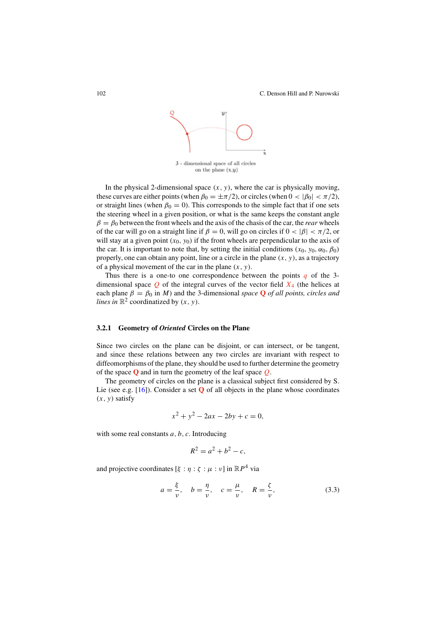

In the physical 2-dimensional space  $(x, y)$ , where the car is physically moving, these curves are either points (when  $\beta_0 = \pm \pi/2$ ), or circles (when  $0 < |\beta_0| < \pi/2$ ), or straight lines (when  $\beta_0 = 0$ ). This corresponds to the simple fact that if one sets the steering wheel in a given position, or what is the same keeps the constant angle  $\beta = \beta_0$  between the front wheels and the axis of the chasis of the car, the *rear* wheels of the car will go on a straight line if  $\beta = 0$ , will go on circles if  $0 < |\beta| < \pi/2$ , or will stay at a given point  $(x_0, y_0)$  if the front wheels are perpendicular to the axis of the car. It is important to note that, by setting the initial conditions  $(x_0, y_0, \alpha_0, \beta_0)$ properly, one can obtain any point, line or a circle in the plane  $(x, y)$ , as a trajectory of a physical movement of the car in the plane  $(x, y)$ .

Thus there is a one-to one correspondence between the points  $q$  of the 3dimensional space  $Q$  of the integral curves of the vector field  $X_4$  (the helices at each plane  $\beta = \beta_0$  in M) and the 3-dimensional space **Q** of all points, circles and lines in  $\mathbb{R}^2$  coordinatized by  $(x, y)$ .

#### **3.2.1 Geometry of** *Oriented* **Circles on the Plane**

Since two circles on the plane can be disjoint, or can intersect, or be tangent, and since these relations between any two circles are invariant with respect to diffeomorphisms of the plane, they should be used to further determine the geometry of the space **Q** and in turn the geometry of the leaf space Q.

The geometry of circles on the plane is a classical subject first considered by S. Lie (see e.g. [16]). Consider a set **Q** of all objects in the plane whose coordinates  $(x, y)$  satisfy

$$
x^2 + y^2 - 2ax - 2by + c = 0,
$$

with some real constants  $a, b, c$ . Introducing

$$
R^2 = a^2 + b^2 - c,
$$

and projective coordinates  $[\xi : \eta : \zeta : \mu : \nu]$  in  $\mathbb{R}P^4$  via

$$
a = \frac{\xi}{\nu}, \quad b = \frac{\eta}{\nu}, \quad c = \frac{\mu}{\nu}, \quad R = \frac{\zeta}{\nu},
$$
 (3.3)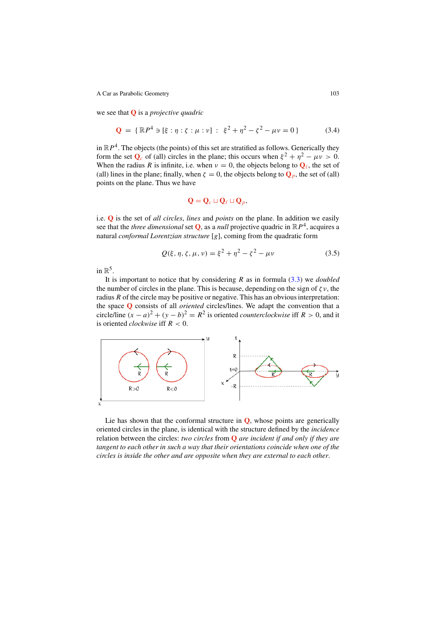we see that **Q** is a projective quadric

$$
\mathbf{Q} = \{ \mathbb{R}P^4 \ni [\xi : \eta : \zeta : \mu : \nu] : \xi^2 + \eta^2 - \zeta^2 - \mu \nu = 0 \}
$$
 (3.4)

in  $\mathbb{R}P^4$ . The objects (the points) of this set are stratified as follows. Generically they form the set  $\mathbf{Q}_c$  of (all) circles in the plane; this occurs when  $\xi^2 + \eta^2 - \mu v > 0$ . When the radius R is infinite, i.e. when  $v = 0$ , the objects belong to  $Q_\ell$ , the set of (all) lines in the plane; finally, when  $\zeta = 0$ , the objects belong to  $\mathbf{Q}_p$ , the set of (all) points on the plane. Thus we have

$$
\mathbf{Q} = \mathbf{Q}_c \sqcup \mathbf{Q}_\ell \sqcup \mathbf{Q}_p,
$$

i.e. **Q** is the set of all circles, lines and points on the plane. In addition we easily see that the *three dimensional* set  $Q$ , as a *null* projective quadric in  $\mathbb{R}P^4$ , acquires a natural conformal Lorentzian structure [g], coming from the quadratic form

$$
Q(\xi, \eta, \zeta, \mu, \nu) = \xi^2 + \eta^2 - \zeta^2 - \mu \nu \tag{3.5}
$$

in  $\mathbb{R}^5$ .

It is important to notice that by considering R as in formula  $(3.3)$  we *doubled* the number of circles in the plane. This is because, depending on the sign of  $\zeta v$ , the radius  $R$  of the circle may be positive or negative. This has an obvious interpretation: the space **Q** consists of all oriented circles/lines. We adapt the convention that a circle/line  $(x - a)^2 + (y - b)^2 = R^2$  is oriented *counterclockwise* iff  $R > 0$ , and it is oriented *clockwise* iff  $R < 0$ .



Lie has shown that the conformal structure in **Q**, whose points are generically oriented circles in the plane, is identical with the structure defined by the incidence relation between the circles: two circles from **Q** are incident if and only if they are tangent to each other in such a way that their orientations coincide when one of the circles is inside the other and are opposite when they are external to each other.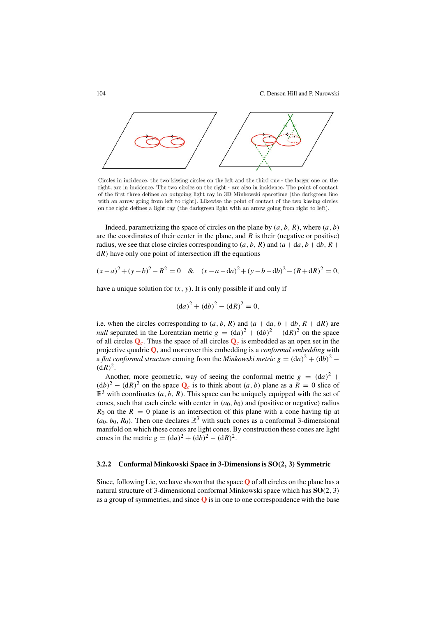104 C. Denson Hill and P. Nurowski



Circles in incidence: the two kissing circles on the left and the third one - the larger one on the right, are in incidence. The two circles on the right - are also in incidence. The point of contact of the first three defines an outgoing light ray in 3D Minkowski spacetime (the darkgreen line with an arrow going from left to right). Likewise the point of contact of the two kissing circles on the right defines a light ray (the darkgreen light with an arrow going from right to left).

Indeed, parametrizing the space of circles on the plane by  $(a, b, R)$ , where  $(a, b)$ are the coordinates of their center in the plane, and  $R$  is their (negative or positive) radius, we see that close circles corresponding to  $(a, b, R)$  and  $(a + da, b + db, R +$  $dR$ ) have only one point of intersection iff the equations

$$
(x-a)^2 + (y-b)^2 - R^2 = 0 \quad & (x-a-da)^2 + (y-b-db)^2 - (R+dR)^2 = 0,
$$

have a unique solution for  $(x, y)$ . It is only possible if and only if

$$
(da)^2 + (db)^2 - (dR)^2 = 0,
$$

i.e. when the circles corresponding to  $(a, b, R)$  and  $(a + da, b + db, R + dR)$  are *null* separated in the Lorentzian metric  $g = (da)^2 + (db)^2 - (dR)^2$  on the space of all circles  $\mathbf{Q}_c$ . Thus the space of all circles  $\mathbf{Q}_c$  is embedded as an open set in the projective quadric **Q**, and moreover this embedding is a conformal embedding with a *flat conformal structure* coming from the *Minkowski metric*  $g = (da)^2 + (db)^2$  −  $(dR)^2$ .

Another, more geometric, way of seeing the conformal metric  $g = (da)^2$  +  $(db)^2 - (dR)^2$  on the space  $Q_c$  is to think about  $(a, b)$  plane as a  $R = 0$  slice of  $\mathbb{R}^3$  with coordinates  $(a, b, R)$ . This space can be uniquely equipped with the set of cones, such that each circle with center in  $(a_0, b_0)$  and (positive or negative) radius  $R_0$  on the  $R = 0$  plane is an intersection of this plane with a cone having tip at  $(a_0, b_0, R_0)$ . Then one declares  $\mathbb{R}^3$  with such cones as a conformal 3-dimensional manifold on which these cones are light cones. By construction these cones are light cones in the metric  $g = (da)^2 + (db)^2 - (dR)^2$ .

#### **3.2.2 Conformal Minkowski Space in 3-Dimensions is SO**(**2**, **3**) **Symmetric**

Since, following Lie, we have shown that the space **Q** of all circles on the plane has a natural structure of 3-dimensional conformal Minkowski space which has **SO**(2, 3) as a group of symmetries, and since **Q** is in one to one correspondence with the base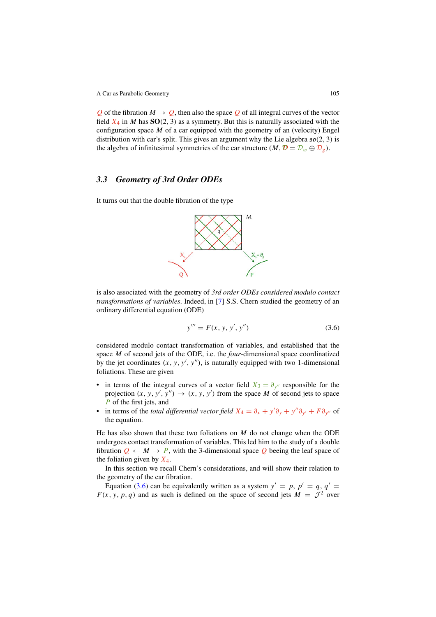Q of the fibration  $M \to Q$ , then also the space Q of all integral curves of the vector field  $X_4$  in M has  $SO(2, 3)$  as a symmetry. But this is naturally associated with the configuration space  $M$  of a car equipped with the geometry of an (velocity) Engel distribution with car's split. This gives an argument why the Lie algebra  $\mathfrak{so}(2, 3)$  is the algebra of infinitesimal symmetries of the car structure  $(M, \mathcal{D} = \mathcal{D}_w \oplus \mathcal{D}_g)$ .

# *3.3 Geometry of 3rd Order ODEs*

It turns out that the double fibration of the type



is also associated with the geometry of 3rd order ODEs considered modulo contact transformations of variables. Indeed, in [7] S.S. Chern studied the geometry of an ordinary differential equation (ODE)

$$
y''' = F(x, y, y', y'')
$$
 (3.6)

considered modulo contact transformation of variables, and established that the space M of second jets of the ODE, i.e. the *four*-dimensional space coordinatized by the jet coordinates  $(x, y, y', y'')$ , is naturally equipped with two 1-dimensional foliations. These are given

- in terms of the integral curves of a vector field  $X_3 = \partial_{y''}$  responsible for the projection  $(x, y, y', y'') \rightarrow (x, y, y')$  from the space M of second jets to space P of the first jets, and
- in terms of the *total differential vector field*  $X_4 = \partial_x + y' \partial_y + y'' \partial_{y'} + F \partial_{y''}$  of the equation.

He has also shown that these two foliations on  $M$  do not change when the ODE undergoes contact transformation of variables. This led him to the study of a double fibration  $Q \leftarrow M \rightarrow P$ , with the 3-dimensional space Q beeing the leaf space of the foliation given by  $X_4$ .

In this section we recall Chern's considerations, and will show their relation to the geometry of the car fibration.

Equation (3.6) can be equivalently written as a system  $y' = p$ ,  $p' = q$ ,  $q' =$  $F(x, y, p, q)$  and as such is defined on the space of second jets  $M = \overline{\mathcal{J}^2}$  over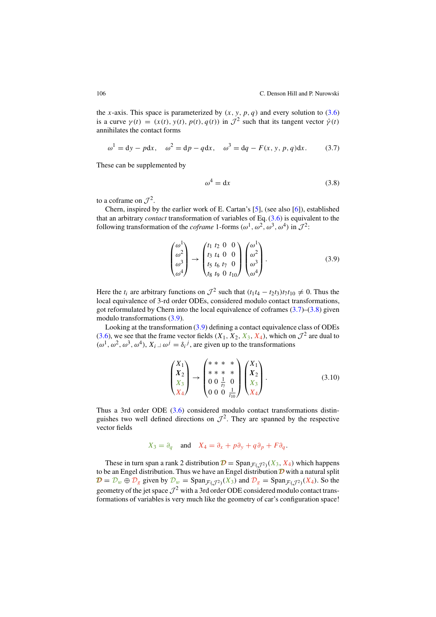the x-axis. This space is parameterized by  $(x, y, p, q)$  and every solution to  $(3.6)$ is a curve  $\gamma(t) = (x(t), y(t), p(t), q(t))$  in  $\mathcal{J}^2$  such that its tangent vector  $\dot{\gamma}(t)$ annihilates the contact forms

$$
\omega^1 = dy - p dx
$$
,  $\omega^2 = dp - q dx$ ,  $\omega^3 = dq - F(x, y, p, q) dx$ . (3.7)

These can be supplemented by

$$
\omega^4 = \mathrm{d}x\tag{3.8}
$$

to a coframe on  $\mathcal{I}^2$ .

Chern, inspired by the earlier work of E. Cartan's [5], (see also [6]), established that an arbitrary *contact* transformation of variables of Eq.  $(3.6)$  is equivalent to the following transformation of the *coframe* 1-forms  $(\omega^1, \omega^2, \omega^3, \omega^4)$  in  $\mathcal{J}^2$ .

$$
\begin{pmatrix} \omega^1 \\ \omega^2 \\ \omega^3 \\ \omega^4 \end{pmatrix} \rightarrow \begin{pmatrix} t_1 & t_2 & 0 & 0 \\ t_3 & t_4 & 0 & 0 \\ t_5 & t_6 & t_7 & 0 \\ t_8 & t_9 & 0 & t_{10} \end{pmatrix} \begin{pmatrix} \omega^1 \\ \omega^2 \\ \omega^3 \\ \omega^4 \end{pmatrix} . \tag{3.9}
$$

Here the  $t_i$  are arbitrary functions on  $\mathcal{J}^2$  such that  $(t_1t_4 - t_2t_3)t_7t_{10} \neq 0$ . Thus the local equivalence of 3-rd order ODEs, considered modulo contact transformations, got reformulated by Chern into the local equivalence of coframes  $(3.7)$ – $(3.8)$  given modulo transformations (3.9).

Looking at the transformation (3.9) defining a contact equivalence class of ODEs (3.6), we see that the frame vector fields  $(X_1, X_2, X_3, X_4)$ , which on  $\mathcal{J}^2$  are dual to  $(\omega^1, \omega^2, \omega^3, \omega^4), X_i \perp \omega^j = \delta_i^j$ , are given up to the transformations

$$
\begin{pmatrix} X_1 \\ X_2 \\ X_3 \\ X_4 \end{pmatrix} \rightarrow \begin{pmatrix} * & * & * & * \\ * & * & * & * \\ 0 & 0 & \frac{1}{t_7} & 0 \\ 0 & 0 & 0 & \frac{1}{t_{10}} \end{pmatrix} \begin{pmatrix} X_1 \\ X_2 \\ X_3 \\ X_4 \end{pmatrix} . \tag{3.10}
$$

Thus a 3rd order ODE  $(3.6)$  considered modulo contact transformations distinguishes two well defined directions on  $\mathcal{J}^2$ . They are spanned by the respective vector fields

$$
X_3 = \partial_q \quad \text{and} \quad X_4 = \partial_x + p\partial_y + q\partial_p + F\partial_q.
$$

These in turn span a rank 2 distribution  $\mathcal{D} = \text{Span}_{\mathcal{F}(\mathcal{T}^2)}(X_3, X_4)$  which happens to be an Engel distribution. Thus we have an Engel distribution  $\mathcal D$  with a natural split  $\mathcal{D} = \mathcal{D}_w \oplus \mathcal{D}_g$  given by  $\mathcal{D}_w = \text{Span}_{\mathcal{F}(\mathcal{J}^2)}(X_3)$  and  $\mathcal{D}_g = \text{Span}_{\mathcal{F}(\mathcal{J}^2)}(X_4)$ . So the geometry of the jet space  $\mathcal{J}^2$  with a 3rd order ODE considered modulo contact transformations of variables is very much like the geometry of car's configuration space!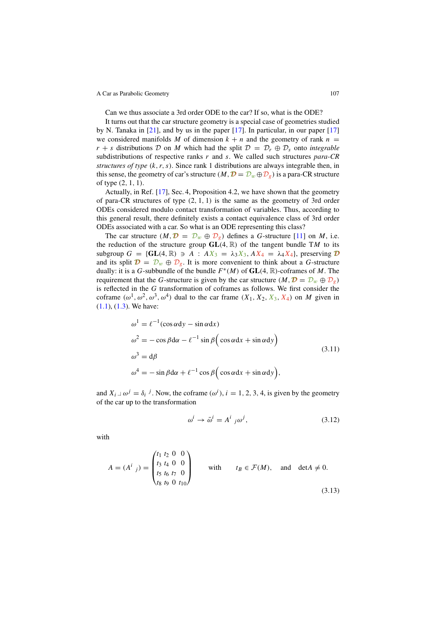Can we thus associate a 3rd order ODE to the car? If so, what is the ODE?

It turns out that the car structure geometry is a special case of geometries studied by N. Tanaka in [21], and by us in the paper [17]. In particular, in our paper [17] we considered manifolds M of dimension  $k + n$  and the geometry of rank  $n =$  $r + s$  distributions D on M which had the split  $\mathcal{D} = \mathcal{D}_r \oplus \mathcal{D}_s$  onto *integrable* subdistributions of respective ranks  $r$  and  $s$ . We called such structures para-CR structures of type  $(k, r, s)$ . Since rank 1 distributions are always integrable then, in this sense, the geometry of car's structure  $(M, \mathcal{D} = \mathcal{D}_w \oplus \mathcal{D}_g)$  is a para-CR structure of type (2, 1, 1).

Actually, in Ref. [17], Sec. 4, Proposition 4.2, we have shown that the geometry of para-CR structures of type  $(2, 1, 1)$  is the same as the geometry of 3rd order ODEs considered modulo contact transformation of variables. Thus, according to this general result, there definitely exists a contact equivalence class of 3rd order ODEs associated with a car. So what is an ODE representing this class?

The car structure  $(M, \mathcal{D} = \mathcal{D}_w \oplus \mathcal{D}_g)$  defines a G-structure [11] on M, i.e. the reduction of the structure group  $GL(4, \mathbb{R})$  of the tangent bundle TM to its subgroup  $G = \{GL(4, \mathbb{R}) \ni A : AX_3 = \lambda_3X_3, AX_4 = \lambda_4X_4\}$ , preserving  $D$ and its split  $\mathbf{D} = \mathcal{D}_w \oplus \mathcal{D}_g$ . It is more convenient to think about a G-structure dually: it is a G-subbundle of the bundle  $F^*(M)$  of  $GL(4, \mathbb{R})$ -coframes of M. The requirement that the G-structure is given by the car structure  $(M, \mathcal{D} = \mathcal{D}_w \oplus \mathcal{D}_g)$ is reflected in the G transformation of coframes as follows. We first consider the coframe  $(\omega^1, \omega^2, \omega^3, \omega^4)$  dual to the car frame  $(X_1, X_2, X_3, X_4)$  on M given in (1.1), (1.3). We have:

$$
\omega^{1} = \ell^{-1}(\cos \alpha dy - \sin \alpha dx)
$$
  
\n
$$
\omega^{2} = -\cos \beta d\alpha - \ell^{-1} \sin \beta (\cos \alpha dx + \sin \alpha dy)
$$
  
\n
$$
\omega^{3} = d\beta
$$
  
\n
$$
\omega^{4} = -\sin \beta d\alpha + \ell^{-1} \cos \beta (\cos \alpha dx + \sin \alpha dy),
$$
\n(3.11)

and  $X_i \rvert \omega^j = \delta_i^j$ . Now, the coframe  $(\omega^i)$ ,  $i = 1, 2, 3, 4$ , is given by the geometry of the car up to the transformation

$$
\omega^i \to \bar{\omega}^i = A^i_{\ j}\omega^j,\tag{3.12}
$$

with

$$
A = (Ai j) = \begin{pmatrix} t_1 & t_2 & 0 & 0 \\ t_3 & t_4 & 0 & 0 \\ t_5 & t_6 & t_7 & 0 \\ t_8 & t_9 & 0 & t_{10} \end{pmatrix}
$$
 with  $t_B \in \mathcal{F}(M)$ , and  $det A \neq 0$ . (3.13)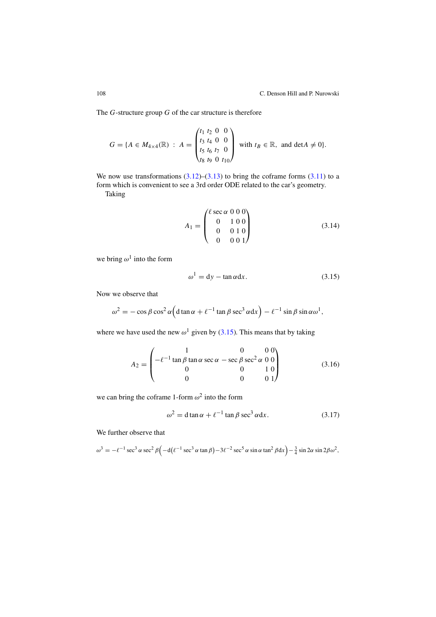The  $G$ -structure group  $G$  of the car structure is therefore

$$
G = \{A \in M_{4 \times 4}(\mathbb{R}) : A = \begin{pmatrix} t_1 & t_2 & 0 & 0 \\ t_3 & t_4 & 0 & 0 \\ t_5 & t_6 & t_7 & 0 \\ t_8 & t_9 & 0 & t_{10} \end{pmatrix} \text{ with } t_B \in \mathbb{R}, \text{ and } \det A \neq 0\}.
$$

We now use transformations  $(3.12)$ – $(3.13)$  to bring the coframe forms  $(3.11)$  to a form which is convenient to see a 3rd order ODE related to the car's geometry. Taking

$$
A_1 = \begin{pmatrix} \ell \sec \alpha & 0 & 0 & 0 \\ 0 & 1 & 0 & 0 \\ 0 & 0 & 1 & 0 \\ 0 & 0 & 0 & 1 \end{pmatrix}
$$
 (3.14)

we bring  $\omega^1$  into the form

$$
\omega^1 = dy - \tan \alpha dx. \tag{3.15}
$$

Now we observe that

$$
\omega^2 = -\cos\beta\cos^2\alpha \Big( d\tan\alpha + \ell^{-1}\tan\beta\sec^3\alpha dx \Big) - \ell^{-1}\sin\beta\sin\alpha\omega^1,
$$

where we have used the new  $\omega^1$  given by (3.15). This means that by taking

$$
A_2 = \begin{pmatrix} 1 & 0 & 0 & 0 \\ -\ell^{-1} \tan \beta \tan \alpha \sec \alpha - \sec \beta \sec^2 \alpha & 0 & 0 \\ 0 & 0 & 1 & 0 \\ 0 & 0 & 0 & 1 \end{pmatrix}
$$
(3.16)

we can bring the coframe 1-form  $\omega^2$  into the form

$$
\omega^2 = d \tan \alpha + \ell^{-1} \tan \beta \sec^3 \alpha dx.
$$
 (3.17)

We further observe that

 $\omega^3 = -\ell^{-1} \sec^3 \alpha \sec^2 \beta \left( -\frac{d(\ell^{-1} \sec^3 \alpha \tan \beta) - 3\ell^{-2} \sec^5 \alpha \sin \alpha \tan^2 \beta \right) - \frac{3}{4} \sin 2\alpha \sin 2\beta \omega^2$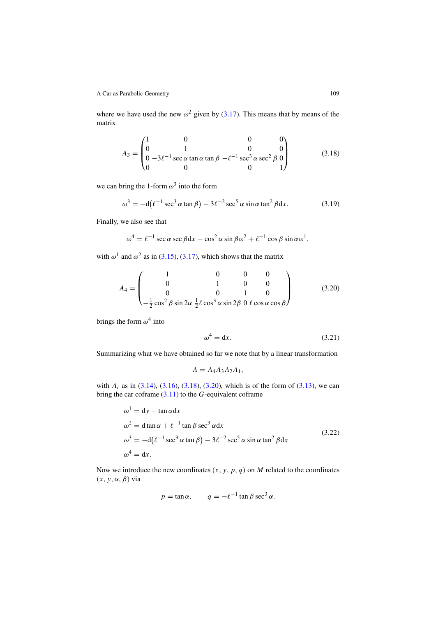where we have used the new  $\omega^2$  given by (3.17). This means that by means of the matrix

$$
A_3 = \begin{pmatrix} 1 & 0 & 0 & 0 \\ 0 & 1 & 0 & 0 \\ 0 & -3\ell^{-1} \sec \alpha \tan \alpha \tan \beta & -\ell^{-1} \sec^3 \alpha \sec^2 \beta & 0 \\ 0 & 0 & 0 & 1 \end{pmatrix}
$$
(3.18)

we can bring the 1-form  $\omega^3$  into the form

$$
\omega^3 = -d(\ell^{-1}\sec^3\alpha\tan\beta) - 3\ell^{-2}\sec^5\alpha\sin\alpha\tan^2\beta\mathrm{d}x. \tag{3.19}
$$

Finally, we also see that

$$
\omega^4 = \ell^{-1} \sec \alpha \sec \beta \, dx - \cos^2 \alpha \sin \beta \, \omega^2 + \ell^{-1} \cos \beta \sin \alpha \, \omega^1,
$$

with  $\omega^1$  and  $\omega^2$  as in (3.15), (3.17), which shows that the matrix

$$
A_4 = \begin{pmatrix} 1 & 0 & 0 & 0 \\ 0 & 1 & 0 & 0 \\ 0 & 0 & 1 & 0 \\ -\frac{1}{2}\cos^2\beta\sin 2\alpha \frac{1}{2}\ell\cos^3\alpha\sin 2\beta & 0 \ell\cos\alpha\cos\beta \end{pmatrix}
$$
(3.20)

brings the form  $\omega^4$  into

$$
\omega^4 = \mathrm{d}x. \tag{3.21}
$$

Summarizing what we have obtained so far we note that by a linear transformation

$$
A = A_4 A_3 A_2 A_1,
$$

with  $A_i$  as in (3.14), (3.16), (3.18), (3.20), which is of the form of (3.13), we can bring the car coframe  $(3.11)$  to the G-equivalent coframe

$$
\omega^{1} = dy - \tan \alpha dx
$$
  
\n
$$
\omega^{2} = d \tan \alpha + \ell^{-1} \tan \beta \sec^{3} \alpha dx
$$
  
\n
$$
\omega^{3} = -d(\ell^{-1} \sec^{3} \alpha \tan \beta) - 3\ell^{-2} \sec^{5} \alpha \sin \alpha \tan^{2} \beta dx
$$
\n(3.22)  
\n
$$
\omega^{4} = dx.
$$

Now we introduce the new coordinates  $(x, y, p, q)$  on M related to the coordinates  $(x, y, \alpha, \beta)$  via

$$
p = \tan \alpha
$$
,  $q = -\ell^{-1} \tan \beta \sec^3 \alpha$ .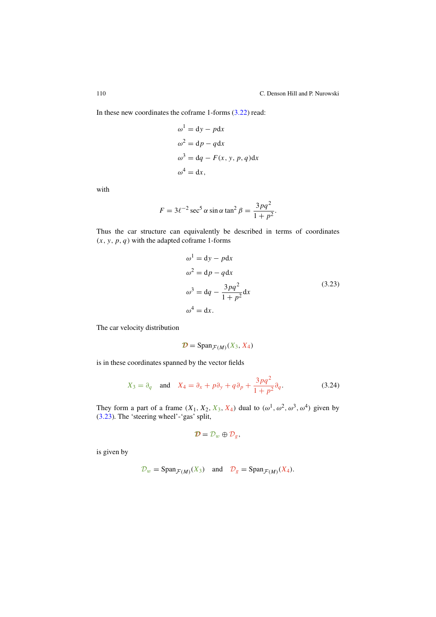In these new coordinates the coframe 1-forms  $(3.22)$  read:

$$
\omega^{1} = dy - pdx
$$
  
\n
$$
\omega^{2} = dp - qdx
$$
  
\n
$$
\omega^{3} = dq - F(x, y, p, q)dx
$$
  
\n
$$
\omega^{4} = dx,
$$

with

$$
F = 3\ell^{-2} \sec^5 \alpha \sin \alpha \tan^2 \beta = \frac{3pq^2}{1+p^2}.
$$

Thus the car structure can equivalently be described in terms of coordinates  $(x, y, p, q)$  with the adapted coframe 1-forms

$$
\omega^{1} = dy - pdx
$$
  
\n
$$
\omega^{2} = dp - qdx
$$
  
\n
$$
\omega^{3} = dq - \frac{3pq^{2}}{1 + p^{2}}dx
$$
  
\n
$$
\omega^{4} = dx.
$$
\n(3.23)

The car velocity distribution

$$
\mathcal{D} = \text{Span}_{\mathcal{F}(M)}(X_3, X_4)
$$

is in these coordinates spanned by the vector fields

$$
X_3 = \partial_q \quad \text{and} \quad X_4 = \partial_x + p\partial_y + q\partial_p + \frac{3pq^2}{1+p^2}\partial_q. \tag{3.24}
$$

They form a part of a frame  $(X_1, X_2, X_3, X_4)$  dual to  $(\omega^1, \omega^2, \omega^3, \omega^4)$  given by (3.23). The 'steering wheel'-'gas' split,

$$
\mathcal{D}=\mathcal{D}_w\oplus \mathcal{D}_g,
$$

is given by

$$
\mathcal{D}_w = \text{Span}_{\mathcal{F}(M)}(X_3)
$$
 and  $\mathcal{D}_g = \text{Span}_{\mathcal{F}(M)}(X_4)$ .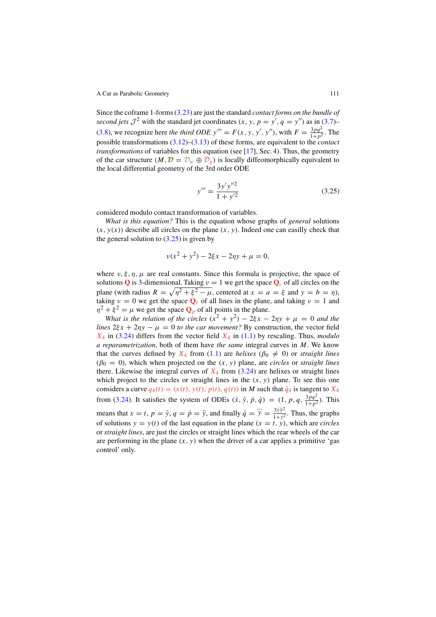Since the coframe 1-forms (3.23) are just the standard contact forms on the bundle of second jets  $\mathcal{J}^2$  with the standard jet coordinates  $(x, y, p = y', q = y'')$  as in (3.7)– (3.8), we recognize here the third ODE  $y''' = F(x, y, y', y'')$ , with  $F = \frac{3pq^2}{1+p^2}$ . The possible transformations  $(3.12)$ – $(3.13)$  of these forms, are equivalent to the *contact transformations* of variables for this equation (see [17], Sec. 4). Thus, the geometry of the car structure  $(M, \mathcal{D} = \mathcal{D}_w \oplus \mathcal{D}_g)$  is locally diffeomorphically equivalent to the local differential geometry of the 3rd order ODE

$$
y''' = \frac{3y'y''^2}{1+y'^2}
$$
 (3.25)

considered modulo contact transformation of variables.

What is this equation? This is the equation whose graphs of general solutions  $(x, y(x))$  describe all circles on the plane  $(x, y)$ . Indeed one can easilly check that the general solution to  $(3.25)$  is given by

$$
v(x^{2} + y^{2}) - 2\xi x - 2\eta y + \mu = 0,
$$

where  $\nu, \xi, \eta, \mu$  are real constants. Since this formula is projective, the space of solutions **Q** is 3-dimensional. Taking  $v = 1$  we get the space  $Q_c$  of all circles on the plane (with radius  $R = \sqrt{\eta^2 + \xi^2 - \mu}$ , centered at  $x = a = \xi$  and  $y = b = \eta$ ), taking  $v = 0$  we get the space  $Q_\ell$  of all lines in the plane, and taking  $v = 1$  and  $\eta^2 + \xi^2 = \mu$  we get the space  $\mathbf{Q}_p$  of all points in the plane.

What is the relation of the circles  $(x^2 + y^2) - 2\xi x - 2\eta y + \mu = 0$  and the lines  $2\xi x + 2\eta y - \mu = 0$  to the car movement? By construction, the vector field  $X_4$  in (3.24) differs from the vector field  $X_4$  in (1.1) by rescaling. Thus, modulo a reparametrization, both of them have the same integral curves in  $M$ . We know that the curves defined by  $X_4$  from (1.1) are helixes ( $\beta_0 \neq 0$ ) or straight lines  $(\beta_0 = 0)$ , which when projected on the  $(x, y)$  plane, are *circles* or *straight lines* there. Likewise the integral curves of  $X_4$  from (3.24) are helixes or straight lines which project to the circles or straight lines in the  $(x, y)$  plane. To see this one considers a curve  $q_4(t) = (x(t), y(t), p(t), q(t))$  in M such that  $\dot{q}_4$  is tangent to  $X_4$ from (3.24). It satisfies the system of ODEs  $(\dot{x}, \dot{y}, \dot{p}, \dot{q}) = (1, p, q, \frac{3pq^2}{1+p^2})$ . This means that  $x = t$ ,  $p = \dot{y}$ ,  $q = \dot{p} = \ddot{y}$ , and finally  $\dot{q} = \dddot{y} = \frac{3\dot{y}\ddot{y}^2}{1+\dot{y}^2}$ . Thus, the graphs of solutions  $y = y(t)$  of the last equation in the plane  $(x = t, y)$ , which are *circles* or straight lines, are just the circles or straight lines which the rear wheels of the car are performing in the plane  $(x, y)$  when the driver of a car applies a primitive 'gas control' only.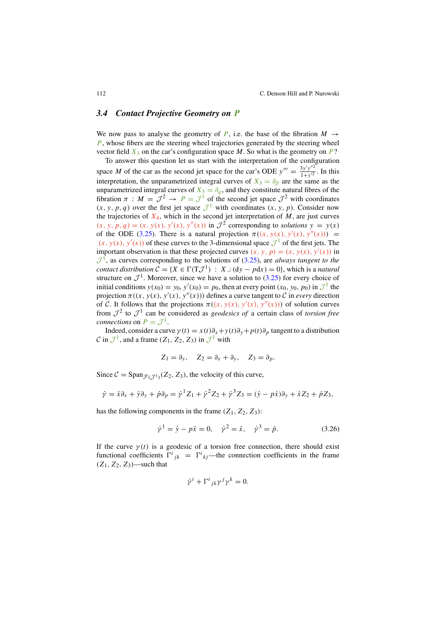#### *3.4 Contact Projective Geometry on* P

We now pass to analyse the geometry of P, i.e. the base of the fibration  $M \rightarrow$ *, whose fibers are the steering wheel trajectories generated by the steering wheel* vector field  $X_3$  on the car's configuration space M. So what is the geometry on P?

To answer this question let us start with the interpretation of the configuration space *M* of the car as the second jet space for the car's ODE  $y''' = \frac{3y'y''^2}{1+y'^2}$ . In this interpretation, the unparametrized integral curves of  $X_3 = \partial_\beta$  are the same as the unparametrized integral curves of  $X_3 = \partial_q$ , and they constitute natural fibres of the fibration  $\pi$  :  $M = J^2 \rightarrow P = J^1$  of the second jet space  $J^2$  with coordinates  $(x, y, p, q)$  over the first jet space  $\mathcal{J}^1$  with coordinates  $(x, y, p)$ . Consider now the trajectories of  $X_4$ , which in the second jet interpretation of M, are just curves  $(x, y, p, q) = (x, y(x), y'(x), y''(x))$  in  $\mathcal{J}^2$  corresponding to solutions  $y = y(x)$ of the ODE (3.25). There is a natural projection  $\pi((x, y(x), y'(x), y''(x))) =$  $(x, y(x), y'(x))$  of these curves to the 3-dimensional space  $\mathcal{J}^1$  of the first jets. The important observation is that these projected curves  $(x, y, p) = (x, y(x), y'(x))$  in  $\mathcal{J}^1$ , as curves corresponding to the solutions of (3.25), are always tangent to the contact distribution  $C = \{X \in \Gamma(T,T^1) : X\cup (dv - pdx) = 0\}$ , which is a natural structure on  $\mathcal{J}^1$ . Moreover, since we have a solution to (3.25) for every choice of initial conditions  $y(x_0) = y_0$ ,  $y'(x_0) = p_0$ , then at every point  $(x_0, y_0, p_0)$  in  $\mathcal{J}^1$  the projection  $\pi((x, y(x), y'(x), y''(x)))$  defines a curve tangent to C in every direction of C. It follows that the projections  $\pi((x, y(x), y'(x), y''(x)))$  of solution curves from  $\mathcal{J}^2$  to  $\mathcal{J}^1$  can be considered as *geodesics of* a certain class of *torsion free* connections on  $P = \mathcal{J}^1$ .

Indeed, consider a curve  $\gamma(t) = x(t)\partial_x + y(t)\partial_y + p(t)\partial_y$  tangent to a distribution C in  $\mathcal{J}^1$ , and a frame  $(Z_1, Z_2, Z_3)$  in  $\mathcal{J}^1$  with

$$
Z_1 = \partial_y, \quad Z_2 = \partial_x + \partial_y, \quad Z_3 = \partial_p.
$$

Since  $C = \text{Span}_{\mathcal{F}(\mathcal{F}^1)}(Z_2, Z_3)$ , the velocity of this curve,

$$
\dot{\gamma} = \dot{x}\partial_x + \dot{y}\partial_y + \dot{p}\partial_p = \dot{\gamma}^1 Z_1 + \dot{\gamma}^2 Z_2 + \dot{\gamma}^3 Z_3 = (\dot{y} - p\dot{x})\partial_y + \dot{x}Z_2 + \dot{p}Z_3,
$$

has the following components in the frame  $(Z_1, Z_2, Z_3)$ :

$$
\dot{\gamma}^1 = \dot{y} - p\dot{x} = 0, \quad \dot{\gamma}^2 = \dot{x}, \quad \dot{\gamma}^3 = \dot{p}.
$$
 (3.26)

If the curve  $\gamma(t)$  is a geodesic of a torsion free connection, there should exist functional coefficients  $\Gamma^i{}_{jk} = \Gamma^i{}_{kj}$ —the connection coefficients in the frame  $(Z_1, Z_2, Z_3)$ —such that

$$
\dot{\gamma}^i + \Gamma^i{}_{jk}\gamma^j\gamma^k = 0.
$$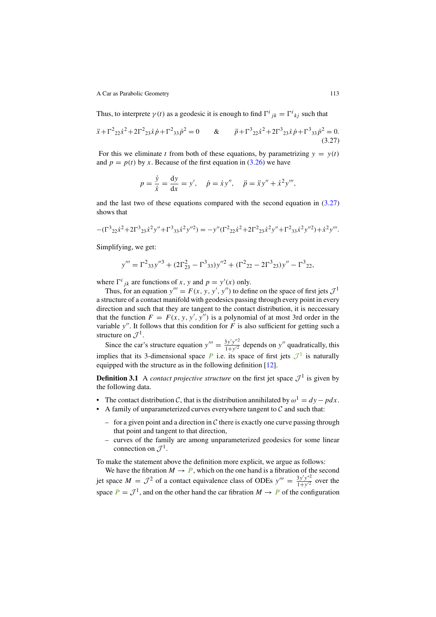Thus, to interprete  $\gamma(t)$  as a geodesic it is enough to find  $\Gamma^i_{jk} = \Gamma^i_{kj}$  such that

$$
\ddot{x} + \Gamma^2 22 \dot{x}^2 + 2\Gamma^2 23 \dot{x} \dot{p} + \Gamma^2 33 \dot{p}^2 = 0 \qquad \& \qquad \ddot{p} + \Gamma^3 22 \dot{x}^2 + 2\Gamma^3 23 \dot{x} \dot{p} + \Gamma^3 33 \dot{p}^2 = 0. \tag{3.27}
$$

For this we eliminate t from both of these equations, by parametrizing  $y = y(t)$ and  $p = p(t)$  by x. Because of the first equation in (3.26) we have

$$
p = \frac{\dot{y}}{\dot{x}} = \frac{dy}{dx} = y', \quad \dot{p} = \dot{x}y'', \quad \ddot{p} = \ddot{x}y'' + \dot{x}^2y'''
$$

and the last two of these equations compared with the second equation in  $(3.27)$ shows that

$$
-(\Gamma^3{}_{22}\dot{x}^2+2\Gamma^3{}_{23}\dot{x}^2y''+\Gamma^3{}_{33}\dot{x}^2y''^2)=-y''(\Gamma^2{}_{22}\dot{x}^2+2\Gamma^2{}_{23}\dot{x}^2y''+\Gamma^2{}_{33}\dot{x}^2y''^2)+\dot{x}^2y'''.
$$

Simplifying, we get:

$$
y''' = \Gamma^2{}_{33}y''^3 + (2\Gamma^2{}_{23} - \Gamma^3{}_{33})y''^2 + (\Gamma^2{}_{22} - 2\Gamma^3{}_{23})y'' - \Gamma^3{}_{22},
$$

where  $\Gamma^{i}{}_{jk}$  are functions of x, y and  $p = y'(x)$  only.

Thus, for an equation  $y''' = F(x, y, y', y'')$  to define on the space of first jets  $\mathcal{J}^1$ a structure of a contact manifold with geodesics passing through every point in every direction and such that they are tangent to the contact distribution, it is neccessary that the function  $F = F(x, y, y', y'')$  is a polynomial of at most 3rd order in the variable y''. It follows that this condition for  $\overline{F}$  is also sufficient for getting such a structure on  $\mathcal{J}^1$ .

Since the car's structure equation  $y''' = \frac{3y'y''^2}{1+y'^2}$  depends on y'' quadratically, this implies that its 3-dimensional space P i.e. its space of first jets  $\mathcal{J}^1$  is naturally equipped with the structure as in the following definition [12].

**Definition 3.1** A contact projective structure on the first jet space  $\mathcal{J}^1$  is given by the following data.

- The contact distribution C, that is the distribution annihilated by  $\omega^1 = dy pdx$ .
- A family of unparameterized curves everywhere tangent to  $\mathcal C$  and such that:
	- for a given point and a direction in  $\mathcal C$  there is exactly one curve passing through that point and tangent to that direction,
	- curves of the family are among unparameterized geodesics for some linear connection on  $\mathcal{I}^1$ .

To make the statement above the definition more explicit, we argue as follows:

We have the fibration  $M \to P$ , which on the one hand is a fibration of the second jet space  $M = \mathcal{J}^2$  of a contact equivalence class of ODEs  $y''' = \frac{3y'y''^2}{1+y'^2}$  over the space  $P = \mathcal{J}^1$ , and on the other hand the car fibration  $M \to P$  of the configuration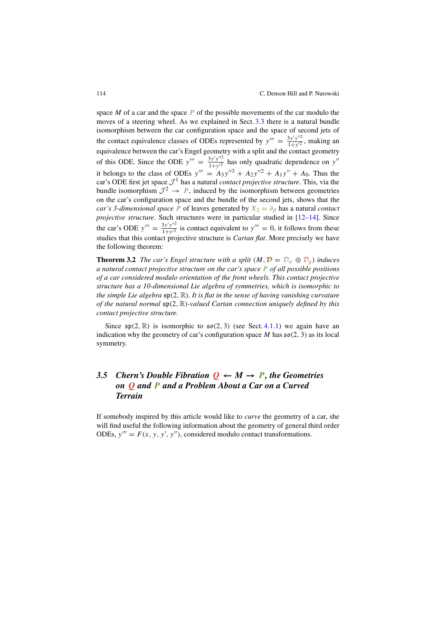space M of a car and the space  $\overline{P}$  of the possible movements of the car modulo the moves of a steering wheel. As we explained in Sect. 3.3 there is a natural bundle isomorphism between the car configuration space and the space of second jets of the contact equivalence classes of ODEs represented by  $y''' = \frac{3y'y''^2}{1+y'^2}$ , making an equivalence between the car's Engel geometry with a split and the contact geometry of this ODE. Since the ODE  $y''' = \frac{3y'y''^2}{1+y'^2}$  has only quadratic dependence on y'' it belongs to the class of ODEs  $y''' = A_3y''^3 + A_2y''^2 + A_1y'' + A_0$ . Thus the car's ODE first jet space  $\mathcal{J}^1$  has a natural *contact projective structure*. This, via the bundle isomorphism  $\mathcal{J}^2 \rightarrow P$ , induced by the isomorphism between geometries on the car's configuration space and the bundle of the second jets, shows that the car's 3-dimensional space P of leaves generated by  $X_3 = \partial_\beta$  has a natural contact projective structure. Such structures were in particular studied in [12–14]. Since the car's ODE  $y''' = \frac{3y'y''^2}{1+y'^2}$  is contact equivalent to  $y''' = 0$ , it follows from these studies that this contact projective structure is Cartan *fl*at. More precisely we have the following theorem:

**Theorem 3.2** The car's Engel structure with a split  $(M, \mathcal{D} = D_w \oplus D_g)$  induces a natural contact projective structure on the car's space  $\overline{P}$  of all possible positions of a car considered modulo orientation of the front wheels. This contact projective structure has a 10-dimensional Lie algebra of symmetries, which is isomorphic to the simple Lie algebra sp(2, R). It is *fl*at in the sense of having vanishing curvature of the natural normal sp(2, R)-valued Cartan connection uniquely de*fi*ned by this contact projective structure.

Since  $\mathfrak{sp}(2,\mathbb{R})$  is isomorphic to  $\mathfrak{so}(2,3)$  (see Sect. 4.1.1) we again have an indication why the geometry of car's configuration space  $M$  has  $\mathfrak{so}(2, 3)$  as its local symmetry.

# *3.5 Chern's Double Fibration*  $Q \leftarrow M \rightarrow P$ , the Geometries *on* Q *and* P *and a Problem About a Car on a Curved Terrain*

If somebody inspired by this article would like to curve the geometry of a car, she will find useful the following information about the geometry of general third order ODEs,  $y''' = F(x, y, y', y'')$ , considered modulo contact transformations.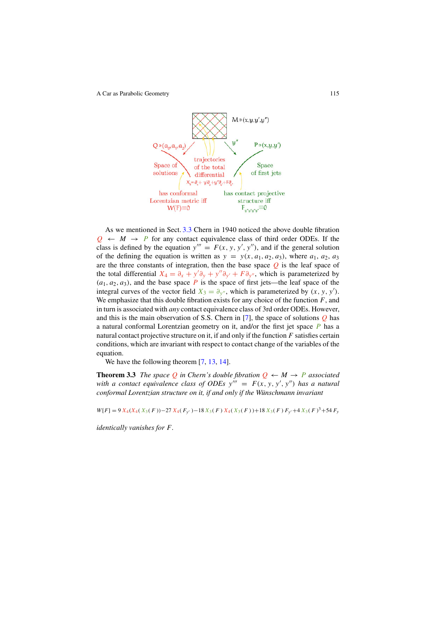

As we mentioned in Sect. 3.3 Chern in 1940 noticed the above double fibration  $Q \leftarrow M \rightarrow P$  for any contact equivalence class of third order ODEs. If the class is defined by the equation  $y''' = F(x, y, y', y'')$ , and if the general solution of the defining the equation is written as  $y = y(x, a_1, a_2, a_3)$ , where  $a_1, a_2, a_3$ are the three constants of integration, then the base space  $Q$  is the leaf space of the total differential  $X_4 = \partial_x + y' \partial_y + y'' \partial_{y'} + F \partial_{y''}$ , which is parameterized by  $(a_1, a_2, a_3)$ , and the base space P is the space of first jets—the leaf space of the integral curves of the vector field  $X_3 = \partial_y$ , which is parameterized by  $(x, y, y')$ . We emphasize that this double fibration exists for any choice of the function  $F$ , and in turn is associated with any contact equivalence class of 3rd order ODEs. However, and this is the main observation of S.S. Chern in [7], the space of solutions  $Q$  has a natural conformal Lorentzian geometry on it, and/or the first jet space  $\vec{P}$  has a natural contact projective structure on it, if and only if the function  $F$  satisfies certain conditions, which are invariant with respect to contact change of the variables of the equation.

We have the following theorem [7, 13, 14].

**Theorem 3.3** The space Q in Chern's double fibration  $Q \leftarrow M \rightarrow P$  associated with a contact equivalence class of ODEs  $y''' = F(x, y, y', y'')$  has a natural conformal Lorentzian structure on it, if and only if the Wünschmann invariant

 $W[F] = 9 X_4(X_4(X_3(F)) - 27 X_4(F_{y'}) - 18 X_3(F) X_4(X_3(F)) + 18 X_3(F) F_{y'} + 4 X_3(F)^3 + 54 F_{y'}$ 

identically vanishes for F.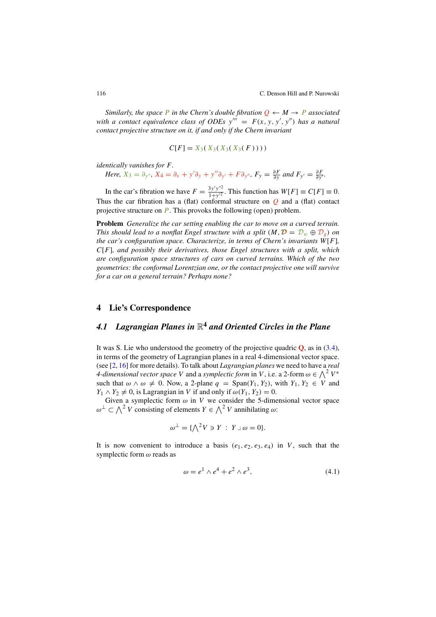Similarly, the space P in the Chern's double fibration  $Q \leftarrow M \rightarrow P$  associated with a contact equivalence class of ODEs  $y''' = F(x, y, y', y'')$  has a natural contact projective structure on it, if and only if the Chern invariant

$$
C[F] = X_3(X_3(X_3(X_3(F))))
$$

identically vanishes for F.

Here, 
$$
X_3 = \partial_{y''}
$$
,  $X_4 = \partial_x + y'\partial_y + y''\partial_{y'} + F\partial_{y''}$ ,  $F_y = \frac{\partial F}{\partial y}$  and  $F_{y'} = \frac{\partial F}{\partial y'}$ .

In the car's fibration we have  $F = \frac{3y'y''^2}{1+y'^2}$ . This function has  $W[F] \equiv C[F] \equiv 0$ . Thus the car fibration has a (flat) conformal structure on  $Q$  and a (flat) contact projective structure on  $\vec{P}$ . This provoks the following (open) problem.

**Problem** Generalize the car setting enabling the car to move on a curved terrain. This should lead to a nonflat Engel structure with a split  $(M, \mathcal{D} = \mathcal{D}_w \oplus \mathcal{D}_g)$  on the car's configuration space. Characterize, in terms of Chern's invariants  $W[F]$ ,  $C[F]$ , and possibly their derivatives, those Engel structures with a split, which are con*fi*guration space structures of cars on curved terrains. Which of the two geometries: the conformal Lorentzian one, or the contact projective one will survive for a car on a general terrain? Perhaps none?

# **4 Lie's Correspondence**

# *4.1 Lagrangian Planes in* R**<sup>4</sup>** *and Oriented Circles in the Plane*

It was S. Lie who understood the geometry of the projective quadric **Q**, as in (3.4), in terms of the geometry of Lagrangian planes in a real 4-dimensional vector space. (see  $[2, 16]$  for more details). To talk about *Lagrangian planes* we need to have a *real* 4-dimensional vector space V and a symplectic form in V, i.e. a 2-form  $\omega \in \bigwedge^2 V^*$ such that  $\omega \wedge \omega \neq 0$ . Now, a 2-plane  $q = \text{Span}(Y_1, Y_2)$ , with  $Y_1, Y_2 \in V$  and  $Y_1 \wedge Y_2 \neq 0$ , is Lagrangian in V if and only if  $\omega(Y_1, Y_2) = 0$ .

Given a symplectic form  $\omega$  in V we consider the 5-dimensional vector space  $\omega^{\perp} \subset \bigwedge^2 V$  consisting of elements  $Y \in \bigwedge^2 V$  annihilating  $\omega$ :

$$
\omega^{\perp} = \{ \bigwedge^2 V \ni Y : Y \sqcup \omega = 0 \}.
$$

It is now convenient to introduce a basis  $(e_1, e_2, e_3, e_4)$  in V, such that the symplectic form  $\omega$  reads as

$$
\omega = e^1 \wedge e^4 + e^2 \wedge e^3,\tag{4.1}
$$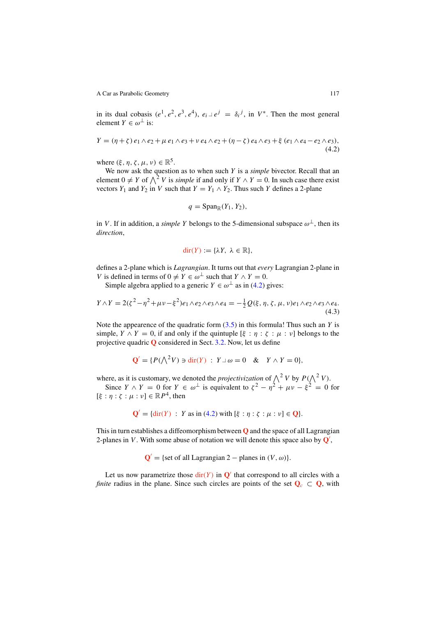in its dual cobasis  $(e^1, e^2, e^3, e^4)$ ,  $e_i \perp e^j = \delta_i^j$ , in  $V^*$ . Then the most general element  $Y \in \omega^{\perp}$  is:

$$
Y = (\eta + \zeta) e_1 \wedge e_2 + \mu e_1 \wedge e_3 + \nu e_4 \wedge e_2 + (\eta - \zeta) e_4 \wedge e_3 + \xi (e_1 \wedge e_4 - e_2 \wedge e_3),
$$
\n(4.2)

where  $(\xi, \eta, \zeta, \mu, \nu) \in \mathbb{R}^5$ .

We now ask the question as to when such  $Y$  is a *simple* bivector. Recall that an element  $0 \neq Y$  of  $\bigwedge^2 V$  is *simple* if and only if  $Y \wedge Y = 0$ . In such case there exist vectors  $Y_1$  and  $Y_2$  in V such that  $Y = Y_1 \wedge Y_2$ . Thus such Y defines a 2-plane

$$
q = \mathrm{Span}_{\mathbb{R}}(Y_1, Y_2),
$$

in V. If in addition, a simple Y belongs to the 5-dimensional subspace  $\omega^{\perp}$ , then its direction,

$$
\operatorname{dir}(Y) := \{ \lambda Y, \ \lambda \in \mathbb{R} \},
$$

defines a 2-plane which is Lagrangian. It turns out that every Lagrangian 2-plane in V is defined in terms of  $0 \neq Y \in \omega^{\perp}$  such that  $Y \wedge Y = 0$ .

Simple algebra applied to a generic  $Y \in \omega^{\perp}$  as in (4.2) gives:

$$
Y \wedge Y = 2(\zeta^2 - \eta^2 + \mu v - \xi^2) e_1 \wedge e_2 \wedge e_3 \wedge e_4 = -\frac{1}{2} Q(\xi, \eta, \zeta, \mu, v) e_1 \wedge e_2 \wedge e_3 \wedge e_4.
$$
\n(4.3)

Note the appearence of the quadratic form  $(3.5)$  in this formula! Thus such an Y is simple,  $Y \wedge Y = 0$ , if and only if the quintuple  $[\xi : \eta : \zeta : \mu : \nu]$  belongs to the projective quadric **Q** considered in Sect. 3.2. Now, let us define

$$
\mathbf{Q}' = \{ P(\bigwedge^2 V) \ni \operatorname{dir}(Y) : Y \sqcup \omega = 0 \quad \& \quad Y \wedge Y = 0 \},
$$

where, as it is customary, we denoted the *projectivization* of  $\bigwedge^2 V$  by  $P(\bigwedge^2 V)$ .

Since  $Y \wedge Y = 0$  for  $Y \in \omega^{\perp}$  is equivalent to  $\zeta^2 - \eta^2 + \mu \nu - \xi^2 = 0$  for  $[\xi : \eta : \zeta : \mu : \nu] \in \mathbb{R}P^4$ , then

$$
\mathbf{Q}' = \{ \text{dir}(Y) : Y \text{ as in (4.2) with } [\xi : \eta : \zeta : \mu : \nu] \in \mathbf{Q} \}.
$$

This in turn establishes a diffeomorphism between **Q** and the space of all Lagrangian 2-planes in V. With some abuse of notation we will denote this space also by  $\mathbf{Q}'$ ,

 $Q' =$ {set of all Lagrangian 2 – planes in  $(V, \omega)$ }.

Let us now parametrize those  $\text{dir}(Y)$  in  $\mathbf{O}'$  that correspond to all circles with a *finite* radius in the plane. Since such circles are points of the set  $Q_c \subset Q$ , with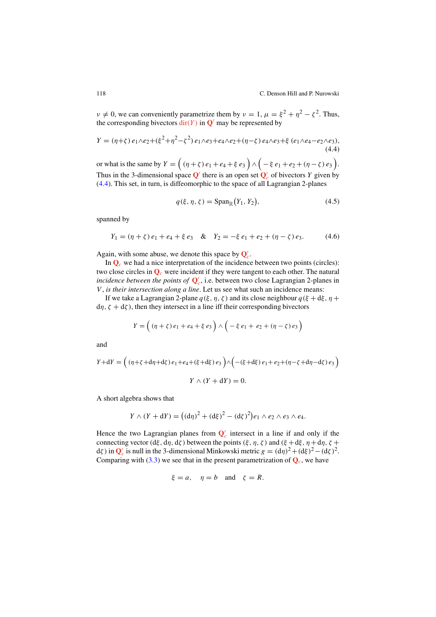$v \neq 0$ , we can conveniently parametrize them by  $v = 1$ ,  $\mu = \xi^2 + \eta^2 - \zeta^2$ . Thus, the corresponding bivectors  $\text{dir}(Y)$  in  $\mathbf{Q}'$  may be represented by

$$
Y = (\eta + \zeta) e_1 \wedge e_2 + (\xi^2 + \eta^2 - \zeta^2) e_1 \wedge e_3 + e_4 \wedge e_2 + (\eta - \zeta) e_4 \wedge e_3 + \xi (e_1 \wedge e_4 - e_2 \wedge e_3),
$$
\n(4.4)

or what is the same by  $Y = ( (\eta + \zeta) e_1 + e_4 + \xi e_3 ) \wedge (-\xi e_1 + e_2 + (\eta - \zeta) e_3 ).$ Thus in the 3-dimensional space  $Q'$  there is an open set  $Q'_c$  of bivectors Y given by (4.4). This set, in turn, is diffeomorphic to the space of all Lagrangian 2-planes

$$
q(\xi, \eta, \zeta) = \text{Span}_{\mathbb{R}}(Y_1, Y_2),\tag{4.5}
$$

spanned by

 $Y_1 = (\eta + \zeta) e_1 + e_4 + \xi e_3 \& Y_2 = -\xi e_1 + e_2 + (\eta - \zeta) e_3.$  (4.6)

Again, with some abuse, we denote this space by  $Q'_c$ .

In  $\mathbf{Q}_c$  we had a nice interpretation of the incidence between two points (circles): two close circles in  $\mathbf{Q}_c$  were incident if they were tangent to each other. The natural incidence between the points of  $Q'_c$ , i.e. between two close Lagrangian 2-planes in V, is their intersection along a line. Let us see what such an incidence means:

If we take a Lagrangian 2-plane  $q(\xi, \eta, \zeta)$  and its close neighbour  $q(\xi + d\xi, \eta + d\zeta)$  $d\eta$ ,  $\zeta + d\zeta$ ), then they intersect in a line iff their corresponding bivectors

$$
Y = ((\eta + \zeta) e_1 + e_4 + \xi e_3) \wedge (-\xi e_1 + e_2 + (\eta - \zeta) e_3)
$$

and

$$
Y + dY = ((\eta + \zeta + d\eta + d\zeta) e_1 + e_4 + (\xi + d\xi) e_3) \wedge (-(\xi + d\xi) e_1 + e_2 + (\eta - \zeta + d\eta - d\zeta) e_3)
$$
  

$$
Y \wedge (Y + dY) = 0.
$$

A short algebra shows that

$$
Y \wedge (Y + dY) = ((d\eta)^2 + (d\xi)^2 - (d\zeta)^2)e_1 \wedge e_2 \wedge e_3 \wedge e_4.
$$

Hence the two Lagrangian planes from  $Q'_c$  intersect in a line if and only if the connecting vector (dξ, d $\eta$ , dζ) between the points (ξ,  $\eta$ , ζ) and (ξ +dξ,  $\eta$  +d $\eta$ , ζ + d $\zeta$ ) in  $\mathbf{Q}'_c$  is null in the 3-dimensional Minkowski metric  $g = (d\eta)^2 + (d\xi)^2 - (d\zeta)^2$ . Comparing with (3.3) we see that in the present parametrization of  $\mathbf{Q}_c$ , we have

$$
\xi = a, \quad \eta = b \quad \text{and} \quad \zeta = R.
$$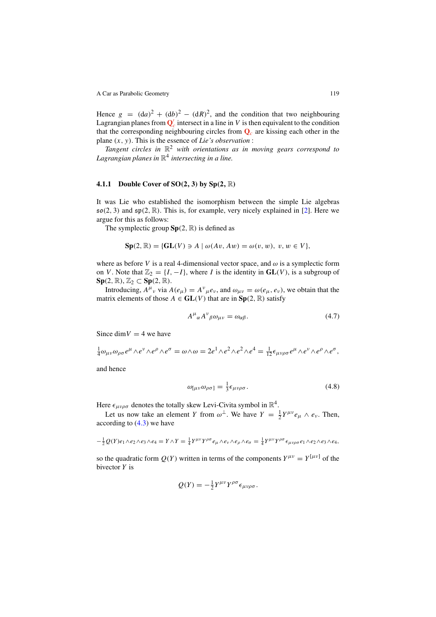Hence  $g = (da)^2 + (db)^2 - (dR)^2$ , and the condition that two neighbouring Lagrangian planes from  $\mathbf{Q}_c'$  intersect in a line in V is then equivalent to the condition that the corresponding neighbouring circles from  $Q_c$  are kissing each other in the plane  $(x, y)$ . This is the essence of Lie's observation :

Tangent circles in  $\mathbb{R}^2$  with orientations as in moving gears correspond to Lagrangian planes in  $\mathbb{R}^4$  intersecting in a line.

#### **4.1.1 Double Cover of SO**(**2**, **3**) **by Sp**(**2**, R)

It was Lie who established the isomorphism between the simple Lie algebras  $\mathfrak{so}(2,3)$  and  $\mathfrak{sp}(2,\mathbb{R})$ . This is, for example, very nicely explained in [2]. Here we argue for this as follows:

The symplectic group  $Sp(2, \mathbb{R})$  is defined as

$$
\mathbf{Sp}(2,\mathbb{R})=\{\mathbf{GL}(V)\ni A\mid \omega(Av,Aw)=\omega(v,w),\ v,w\in V\},\
$$

where as before V is a real 4-dimensional vector space, and  $\omega$  is a symplectic form on V. Note that  $\mathbb{Z}_2 = \{I, -I\}$ , where I is the identity in  $GL(V)$ , is a subgroup of  $\text{Sp}(2, \mathbb{R}), \mathbb{Z}_2 \subset \text{Sp}(2, \mathbb{R}).$ 

Introducing,  $A^{\mu}{}_{\nu}$  via  $A(e_{\mu}) = A^{\nu}{}_{\mu}e_{\nu}$ , and  $\omega_{\mu\nu} = \omega(e_{\mu}, e_{\nu})$ , we obtain that the matrix elements of those  $A \in GL(V)$  that are in  $Sp(2, \mathbb{R})$  satisfy

$$
A^{\mu}{}_{\alpha}A^{\nu}{}_{\beta}\omega_{\mu\nu} = \omega_{\alpha\beta}.\tag{4.7}
$$

Since dim  $V = 4$  we have

$$
\frac{1}{4}\omega_{\mu\nu}\omega_{\rho\sigma}e^{\mu}\wedge e^{\nu}\wedge e^{\rho}\wedge e^{\sigma}=\omega\wedge\omega=2e^{1}\wedge e^{2}\wedge e^{2}\wedge e^{4}=\frac{1}{12}\epsilon_{\mu\nu\rho\sigma}e^{\mu}\wedge e^{\nu}\wedge e^{\rho}\wedge e^{\sigma},
$$

and hence

$$
\omega_{\lbrack \mu\nu}\omega_{\rho\sigma\rbrack} = \frac{1}{3}\epsilon_{\mu\nu\rho\sigma}.
$$
\n(4.8)

Here  $\epsilon_{\mu\nu\rho\sigma}$  denotes the totally skew Levi-Civita symbol in  $\mathbb{R}^4$ .

Let us now take an element Y from  $\omega^{\perp}$ . We have  $Y = \frac{1}{2} Y^{\mu\nu} e_{\mu} \wedge e_{\nu}$ . Then, according to  $(4.3)$  we have

$$
-\frac{1}{2}Q(Y)e_1\wedge e_2\wedge e_3\wedge e_4 = Y\wedge Y = \frac{1}{4}Y^{\mu\nu}Y^{\rho\sigma}e_\mu\wedge e_\nu\wedge e_\rho\wedge e_\sigma = \frac{1}{4}Y^{\mu\nu}Y^{\rho\sigma}\epsilon_{\mu\nu\rho\sigma}e_1\wedge e_2\wedge e_3\wedge e_4,
$$

so the quadratic form  $Q(Y)$  written in terms of the components  $Y^{\mu\nu} = Y^{[\mu\nu]}$  of the bivector  $Y$  is

$$
Q(Y) = -\frac{1}{2} Y^{\mu\nu} Y^{\rho\sigma} \epsilon_{\mu\nu\rho\sigma}.
$$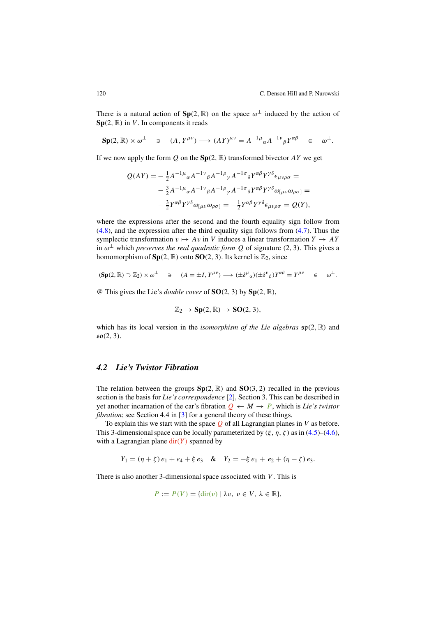There is a natural action of  $\text{Sp}(2, \mathbb{R})$  on the space  $\omega^{\perp}$  induced by the action of  $\textbf{Sp}(2,\mathbb{R})$  in V. In components it reads

$$
\mathbf{Sp}(2,\mathbb{R})\times\omega^{\perp}\quad\ni\quad (A,Y^{\mu\nu})\longrightarrow (AY)^{\mu\nu}=A^{-1\mu}_{\alpha}A^{-1\nu}_{\beta}Y^{\alpha\beta}\quad\in\quad\omega^{\perp}.
$$

If we now apply the form  $Q$  on the  $Sp(2, \mathbb{R})$  transformed bivector AY we get

$$
Q(AY) = -\frac{1}{2}A^{-1\mu}{}_{\alpha}A^{-1\nu}{}_{\beta}A^{-1\rho}{}_{\gamma}A^{-1\sigma}{}_{\delta}Y^{\alpha\beta}Y^{\gamma\delta}\epsilon_{\mu\nu\rho\sigma} =
$$
  

$$
-\frac{3}{2}A^{-1\mu}{}_{\alpha}A^{-1\nu}{}_{\beta}A^{-1\rho}{}_{\gamma}A^{-1\sigma}{}_{\delta}Y^{\alpha\beta}Y^{\gamma\delta}\omega_{[\mu\nu}\omega_{\rho\sigma]} =
$$
  

$$
-\frac{3}{2}Y^{\alpha\beta}Y^{\gamma\delta}\omega_{[\mu\nu}\omega_{\rho\sigma]} = -\frac{1}{2}Y^{\alpha\beta}Y^{\gamma\delta}\epsilon_{\mu\nu\rho\sigma} = Q(Y),
$$

where the expressions after the second and the fourth equality sign follow from (4.8), and the expression after the third equality sign follows from (4.7). Thus the symplectic transformation  $v \mapsto Av$  in V induces a linear transformation  $Y \mapsto AY$ in  $\omega^{\perp}$  which *preserves the real quadratic form Q* of signature (2, 3). This gives a homomorphism of  $Sp(2, \mathbb{R})$  onto  $SO(2, 3)$ . Its kernel is  $\mathbb{Z}_2$ , since

$$
(\mathbf{Sp}(2,\mathbb{R})\supset\mathbb{Z}_2)\times\omega^\perp\quad\ni\quad (A=\pm I, Y^{\mu\nu})\longrightarrow(\pm\delta^\mu{}_\alpha)(\pm\delta^\nu{}_\beta)Y^{\alpha\beta}=Y^{\mu\nu}\quad\in\quad\omega^\perp.
$$

@ This gives the Lie's double cover of **SO**(2, 3) by **Sp**(2, R),

$$
\mathbb{Z}_2 \to \mathbf{Sp}(2,\mathbb{R}) \to \mathbf{SO}(2,3),
$$

which has its local version in the *isomorphism of the Lie algebras*  $\mathfrak{sp}(2,\mathbb{R})$  and  $50(2, 3)$ .

# *4.2 Lie's Twistor Fibration*

The relation between the groups  $Sp(2, \mathbb{R})$  and  $SO(3, 2)$  recalled in the previous section is the basis for Lie's correspondence [2], Section 3. This can be described in yet another incarnation of the car's fibration  $Q \leftarrow M \rightarrow P$ , which is Lie's twistor *fibration*; see Section 4.4 in [3] for a general theory of these things.

To explain this we start with the space  $Q$  of all Lagrangian planes in V as before. This 3-dimensional space can be locally parameterized by  $(\xi, \eta, \zeta)$  as in (4.5)–(4.6), with a Lagrangian plane  $\text{dir}(Y)$  spanned by

$$
Y_1 = (\eta + \zeta) e_1 + e_4 + \xi e_3 \& Y_2 = -\xi e_1 + e_2 + (\eta - \zeta) e_3.
$$

There is also another 3-dimensional space associated with  $V$ . This is

$$
P := P(V) = \{ \text{dir}(v) \mid \lambda v, \ v \in V, \ \lambda \in \mathbb{R} \},
$$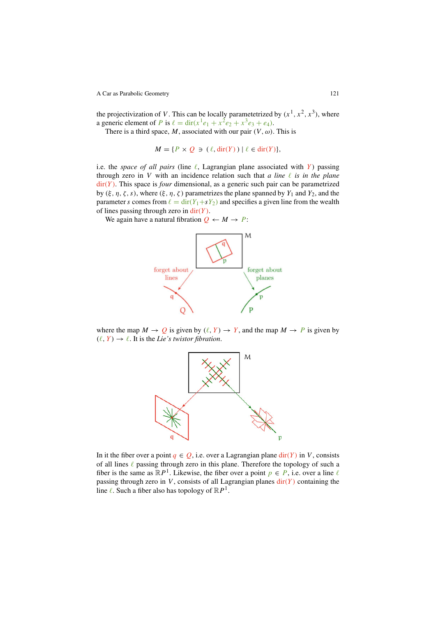the projectivization of V. This can be locally parametetrized by  $(x^1, x^2, x^3)$ , where a generic element of *P* is  $\ell = \text{dir}(x^1e_1 + x^2e_2 + x^3e_3 + e_4)$ .

There is a third space, M, associated with our pair  $(V, \omega)$ . This is

 $M = \{P \times Q \ni (\ell, \text{dir}(Y)) \mid \ell \in \text{dir}(Y)\},\$ 

i.e. the space of all pairs (line  $\ell$ , Lagrangian plane associated with Y) passing through zero in V with an incidence relation such that a line  $\ell$  is in the plane  $\text{dir}(Y)$ . This space is *four* dimensional, as a generic such pair can be parametrized by  $(\xi, \eta, \zeta, s)$ , where  $(\xi, \eta, \zeta)$  parametrizes the plane spanned by  $Y_1$  and  $Y_2$ , and the parameter s comes from  $\ell = \text{dir}(Y_1 + sY_2)$  and specifies a given line from the wealth of lines passing through zero in  $dir(Y)$ .

We again have a natural fibration  $Q \leftarrow M \rightarrow P$ :



where the map  $M \to Q$  is given by  $(\ell, Y) \to Y$ , and the map  $M \to P$  is given by  $(\ell, Y) \rightarrow \ell$ . It is the *Lie's twistor fibration*.



In it the fiber over a point  $q \in Q$ , i.e. over a Lagrangian plane  $\text{dir}(Y)$  in V, consists of all lines  $\ell$  passing through zero in this plane. Therefore the topology of such a fiber is the same as  $\mathbb{R}P^1$ . Likewise, the fiber over a point  $p \in P$ , i.e. over a line  $\ell$ passing through zero in  $V$ , consists of all Lagrangian planes  $dir(Y)$  containing the line  $\ell$ . Such a fiber also has topology of  $\mathbb{R}P^1$ .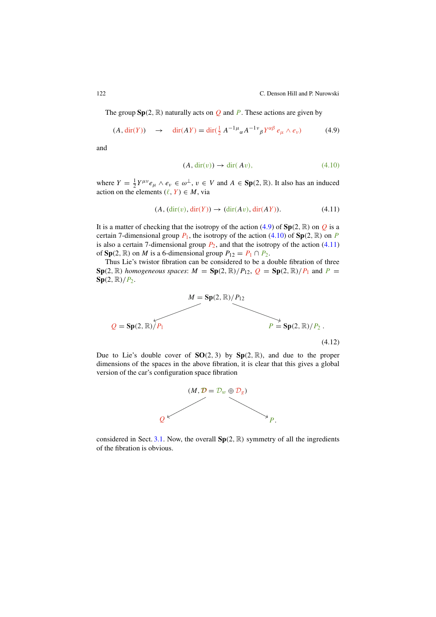122 C. Denson Hill and P. Nurowski

The group  $Sp(2, \mathbb{R})$  naturally acts on Q and P. These actions are given by

$$
(A, \operatorname{dir}(Y)) \quad \to \quad \operatorname{dir}(AY) = \operatorname{dir}(\frac{1}{2}A^{-1}\mu_{\alpha}A^{-1}\nu_{\beta}Y^{\alpha\beta}e_{\mu} \wedge e_{\nu}) \tag{4.9}
$$

and

$$
(A, \operatorname{dir}(v)) \to \operatorname{dir}(Av), \tag{4.10}
$$

where  $Y = \frac{1}{2} Y^{\mu \nu} e_{\mu} \wedge e_{\nu} \in \omega^{\perp}$ ,  $\nu \in V$  and  $A \in \text{Sp}(2, \mathbb{R})$ . It also has an induced action on the elements  $(\ell, Y) \in M$ , via

$$
(A, (\text{dir}(v), \text{dir}(Y)) \to (\text{dir}(Av), \text{dir}(AY)). \tag{4.11}
$$

It is a matter of checking that the isotropy of the action  $(4.9)$  of  $Sp(2, \mathbb{R})$  on Q is a certain 7-dimensional group  $P_1$ , the isotropy of the action (4.10) of  $Sp(2, \mathbb{R})$  on P is also a certain 7-dimensional group  $P_2$ , and that the isotropy of the action (4.11) of **Sp**(2,  $\mathbb{R}$ ) on *M* is a 6-dimensional group  $P_{12} = P_1 \cap P_2$ .

Thus Lie's twistor fibration can be considered to be a double fibration of three  $\text{Sp}(2,\mathbb{R})$  homogeneous spaces:  $M = \text{Sp}(2,\mathbb{R})/P_{12}$ ,  $Q = \text{Sp}(2,\mathbb{R})/P_1$  and  $P =$  $\text{Sp}(2,\mathbb{R})/P_2$ .



Due to Lie's double cover of  $SO(2, 3)$  by  $Sp(2, \mathbb{R})$ , and due to the proper dimensions of the spaces in the above fibration, it is clear that this gives a global version of the car's configuration space fibration



considered in Sect. 3.1. Now, the overall  $Sp(2, \mathbb{R})$  symmetry of all the ingredients of the fibration is obvious.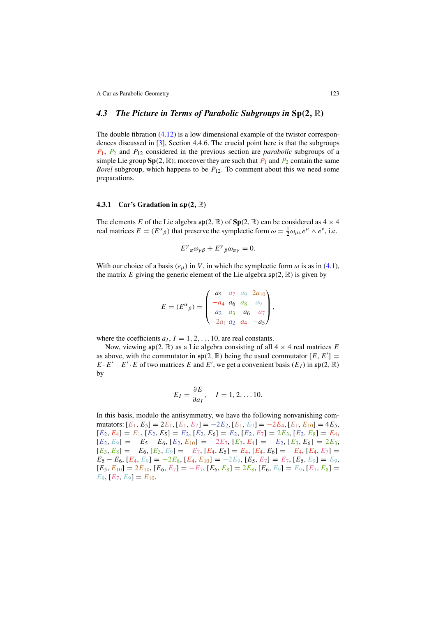#### *4.3 The Picture in Terms of Parabolic Subgroups in* **Sp**(**2**, R)

The double fibration (4.12) is a low dimensional example of the twistor correspondences discussed in [3], Section 4.4.6. The crucial point here is that the subgroups  $P_1$ ,  $P_2$  and  $P_{12}$  considered in the previous section are *parabolic* subgroups of a simple Lie group  $\text{Sp}(2, \mathbb{R})$ ; moreover they are such that  $P_1$  and  $P_2$  contain the same Borel subgroup, which happens to be  $P_{12}$ . To comment about this we need some preparations.

#### **4.3.1 Car's Gradation in** sp(**2**, R)

The elements E of the Lie algebra  $\mathfrak{sp}(2, \mathbb{R})$  of  $\mathbf{Sp}(2, \mathbb{R})$  can be considered as  $4 \times 4$ real matrices  $E = (E^{\alpha}_{\beta})$  that preserve the symplectic form  $\omega = \frac{1}{2} \omega_{\mu\nu} e^{\mu} \wedge e^{\nu}$ , i.e.

$$
E^{\gamma}{}_{\alpha}\omega_{\gamma\beta} + E^{\gamma}{}_{\beta}\omega_{\alpha\gamma} = 0.
$$

With our choice of a basis ( $e_{\mu}$ ) in V, in which the symplectic form  $\omega$  is as in (4.1), the matrix E giving the generic element of the Lie algebra  $\mathfrak{sp}(2,\mathbb{R})$  is given by

$$
E = (E^{\alpha}_{\beta}) = \begin{pmatrix} a_5 & a_7 & a_9 & 2a_{10} \\ -a_4 & a_6 & a_8 & a_9 \\ a_2 & a_3 & -a_6 & -a_7 \\ -2a_1 & a_2 & a_4 & -a_5 \end{pmatrix},
$$

where the coefficients  $a_I$ ,  $I = 1, 2, \ldots 10$ , are real constants.

Now, viewing  $\mathfrak{sp}(2,\mathbb{R})$  as a Lie algebra consisting of all  $4 \times 4$  real matrices E as above, with the commutator in  $\mathfrak{sp}(2,\mathbb{R})$  being the usual commutator  $[E, E']$  $E \cdot E' - E' \cdot E$  of two matrices E and E', we get a convenient basis  $(E_I)$  in  $\mathfrak{sp}(2,\mathbb{R})$ by

$$
E_I = \frac{\partial E}{\partial a_I}, \quad I = 1, 2, \dots 10.
$$

In this basis, modulo the antisymmetry, we have the following nonvanishing commutators:  $[E_1, E_5] = 2E_1, [E_1, E_7] = -2E_2, [E_1, E_9] = -2E_4, [E_1, E_{10}] = 4E_5$  $[E_2, E_4] = E_1, [E_2, E_5] = E_2, [E_2, E_6] = E_2, [E_2, E_7] = 2E_3, [E_2, E_8] = E_4,$  $[E_2, E_9] = -E_5 - E_6$ ,  $[E_2, E_{10}] = -2E_7$ ,  $[E_3, E_4] = -E_2$ ,  $[E_3, E_6] = 2E_3$ ,  $[E_3, E_8] = -E_6$ ,  $[E_3, E_9] = -E_7$ ,  $[E_4, E_5] = E_4$ ,  $[E_4, E_6] = -E_4$ ,  $[E_4, E_7] =$  $E_5 - E_6$ ,  $[E_4, E_9] = -2E_8$ ,  $[E_4, E_{10}] = -2E_9$ ,  $[E_5, E_7] = E_7$ ,  $[E_5, E_9] = E_9$ ,  $[E_5, E_{10}] = 2E_{10}, [E_6, E_7] = -E_7, [E_6, E_8] = 2E_8, [E_6, E_9] = E_9, [E_7, E_8] =$  $E_9$ ,  $[E_7, E_9] = E_{10}$ .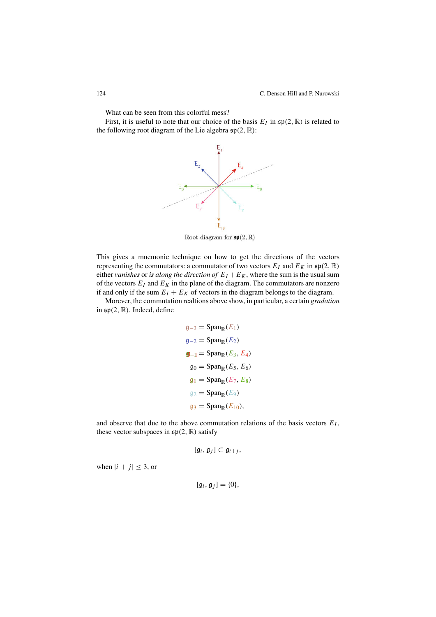What can be seen from this colorful mess?

First, it is useful to note that our choice of the basis  $E_I$  in  $\mathfrak{sp}(2,\mathbb{R})$  is related to the following root diagram of the Lie algebra  $\mathfrak{sp}(2,\mathbb{R})$ :



Root diagram for  $\mathfrak{sp}(2,\mathbb{R})$ 

This gives a mnemonic technique on how to get the directions of the vectors representing the commutators: a commutator of two vectors  $E_I$  and  $E_K$  in  $\mathfrak{sp}(2,\mathbb{R})$ either vanishes or is along the direction of  $E_I + E_K$ , where the sum is the usual sum of the vectors  $E_I$  and  $E_K$  in the plane of the diagram. The commutators are nonzero if and only if the sum  $E_I + E_K$  of vectors in the diagram belongs to the diagram.

Morever, the commutation realtions above show, in particular, a certain *gradation* in  $\mathfrak{sp}(2,\mathbb{R})$ . Indeed, define

$$
g_{-3} = \text{Span}_{\mathbb{R}}(E_1)
$$
  
\n
$$
g_{-2} = \text{Span}_{\mathbb{R}}(E_2)
$$
  
\n
$$
g_{-1} = \text{Span}_{\mathbb{R}}(E_3, E_4)
$$
  
\n
$$
g_0 = \text{Span}_{\mathbb{R}}(E_5, E_6)
$$
  
\n
$$
g_1 = \text{Span}_{\mathbb{R}}(E_7, E_8)
$$
  
\n
$$
g_2 = \text{Span}_{\mathbb{R}}(E_9)
$$
  
\n
$$
g_3 = \text{Span}_{\mathbb{R}}(E_{10}),
$$

and observe that due to the above commutation relations of the basis vectors  $E_I$ , these vector subspaces in  $\mathfrak{sp}(2,\mathbb{R})$  satisfy

$$
[\mathfrak{g}_i,\mathfrak{g}_j]\subset \mathfrak{g}_{i+j},
$$

when  $|i + j| \leq 3$ , or

$$
[\mathfrak{g}_i,\mathfrak{g}_j]=\{0\},\
$$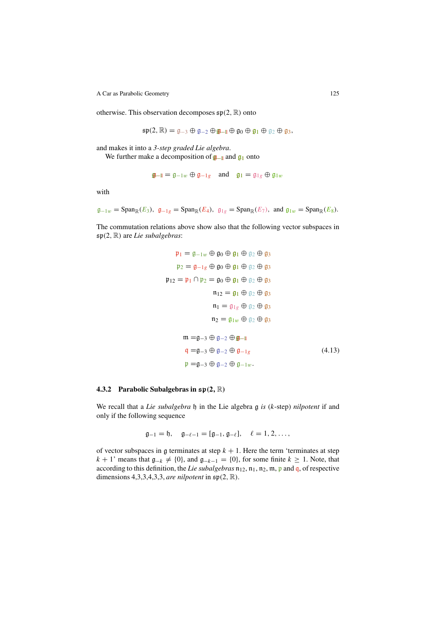otherwise. This observation decomposes  $\mathfrak{sp}(2,\mathbb{R})$  onto

 $\mathfrak{sp}(2,\mathbb{R})=\mathfrak{g}_{-3}\oplus\mathfrak{g}_{-2}\oplus\mathfrak{g}_{-1}\oplus\mathfrak{g}_0\oplus\mathfrak{g}_1\oplus\mathfrak{g}_2\oplus\mathfrak{g}_3,$ 

and makes it into a 3-step graded Lie algebra.

We further make a decomposition of  $\mathbf{g}_{-1}$  and  $\mathbf{g}_1$  onto

$$
\mathbf{I} = \mathbf{I} - \mathbf{I}w \oplus \mathbf{I} - \mathbf{I}g \quad \text{and} \quad \mathbf{I} = \mathbf{I} \mathbf{I}g \oplus \mathbf{I} \mathbf{I}w
$$

with

$$
\mathfrak{g}_{-1w} = \operatorname{Span}_{\mathbb{R}}(E_3), \ \mathfrak{g}_{-1g} = \operatorname{Span}_{\mathbb{R}}(E_4), \ \mathfrak{g}_{1g} = \operatorname{Span}_{\mathbb{R}}(E_7), \ \text{and} \ \mathfrak{g}_{1w} = \operatorname{Span}_{\mathbb{R}}(E_8).
$$

The commutation relations above show also that the following vector subspaces in  $\mathfrak{sp}(2,\mathbb{R})$  are Lie subalgebras:

$$
\mathfrak{p}_1 = \mathfrak{g}_{-1w} \oplus \mathfrak{g}_0 \oplus \mathfrak{g}_1 \oplus \mathfrak{g}_2 \oplus \mathfrak{g}_3
$$
  
\n
$$
\mathfrak{p}_2 = \mathfrak{g}_{-1g} \oplus \mathfrak{g}_0 \oplus \mathfrak{g}_1 \oplus \mathfrak{g}_2 \oplus \mathfrak{g}_3
$$
  
\n
$$
\mathfrak{p}_{12} = \mathfrak{p}_1 \cap \mathfrak{p}_2 = \mathfrak{g}_0 \oplus \mathfrak{g}_1 \oplus \mathfrak{g}_2 \oplus \mathfrak{g}_3
$$
  
\n
$$
\mathfrak{n}_1 = \mathfrak{g}_1 \oplus \mathfrak{g}_2 \oplus \mathfrak{g}_3
$$
  
\n
$$
\mathfrak{n}_1 = \mathfrak{g}_{1g} \oplus \mathfrak{g}_2 \oplus \mathfrak{g}_3
$$
  
\n
$$
\mathfrak{n}_2 = \mathfrak{g}_{1w} \oplus \mathfrak{g}_2 \oplus \mathfrak{g}_3
$$
  
\n
$$
\mathfrak{m} = \mathfrak{g}_{-3} \oplus \mathfrak{g}_{-2} \oplus \mathfrak{g}_{-1}
$$
  
\n
$$
\mathfrak{q} = \mathfrak{g}_{-3} \oplus \mathfrak{g}_{-2} \oplus \mathfrak{g}_{-1g}
$$
  
\n
$$
\mathfrak{p} = \mathfrak{g}_{-3} \oplus \mathfrak{g}_{-2} \oplus \mathfrak{g}_{-1w}.
$$
  
\n(4.13)

#### **4.3.2 Parabolic Subalgebras in** sp(**2**, R)

We recall that a Lie subalgebra  $\mathfrak h$  in the Lie algebra  $\mathfrak g$  is (k-step) nilpotent if and only if the following sequence

$$
\mathfrak{g}_{-1} = \mathfrak{h}, \quad \mathfrak{g}_{-\ell-1} = [\mathfrak{g}_{-1}, \mathfrak{g}_{-\ell}], \quad \ell = 1, 2, \ldots,
$$

of vector subspaces in  $\mathfrak g$  terminates at step  $k + 1$ . Here the term 'terminates at step  $k + 1'$  means that  $\mathfrak{g}_{-k} \neq \{0\}$ , and  $\mathfrak{g}_{-k-1} = \{0\}$ , for some finite  $k \geq 1$ . Note, that according to this definition, the Lie subalgebras  $\mathfrak{n}_{12}$ ,  $\mathfrak{n}_1$ ,  $\mathfrak{n}_2$ ,  $\mathfrak{m}$ ,  $\mathfrak{p}$  and  $\mathfrak{q}$ , of respective dimensions 4,3,3,4,3,3, are nilpotent in  $\mathfrak{sp}(2,\mathbb{R})$ .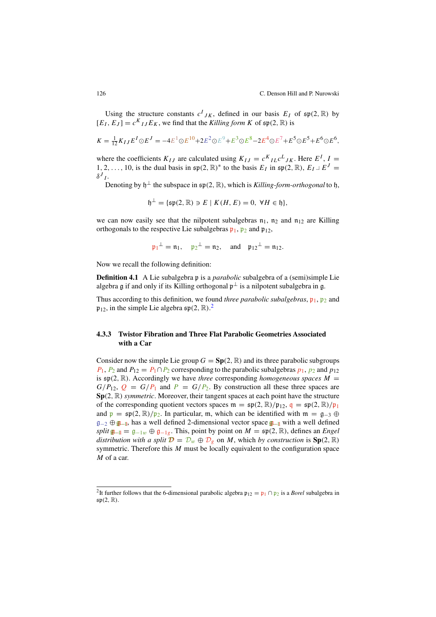Using the structure constants  $c^I_{JK}$ , defined in our basis  $E_I$  of  $\mathfrak{sp}(2,\mathbb{R})$  by  $[E_I, E_J] = c^{K} I J E_K$ , we find that the *Killing form K* of  $\mathfrak{sp}(2, \mathbb{R})$  is

$$
K = \frac{1}{12} K_{IJ} E^I \odot E^J = -4E^1 \odot E^{10} + 2E^2 \odot E^9 + E^3 \odot E^8 - 2E^4 \odot E^7 + E^5 \odot E^5 + E^6 \odot E^6,
$$

where the coefficients  $K_{IJ}$  are calculated using  $K_{IJ} = c^K{}_{IL}c^L{}_{JK}$ . Here  $E^I$ ,  $I =$ 1, 2, . . . , 10, is the dual basis in  $\mathfrak{sp}(2, \mathbb{R})^*$  to the basis  $E_I$  in  $\mathfrak{sp}(2, \mathbb{R})$ ,  $E_I \perp E^J =$  $\delta^J L$ 

Denoting by  $h^{\perp}$  the subspace in  $\mathfrak{sp}(2,\mathbb{R})$ , which is Killing-form-orthogonal to h,

$$
\mathfrak{h}^{\perp} = \{ \mathfrak{sp}(2, \mathbb{R}) \ni E \mid K(H, E) = 0, \ \forall H \in \mathfrak{h} \},
$$

we can now easily see that the nilpotent subalgebras  $n_1$ ,  $n_2$  and  $n_{12}$  are Killing orthogonals to the respective Lie subalgebras  $\mathfrak{p}_1$ ,  $\mathfrak{p}_2$  and  $\mathfrak{p}_{12}$ ,

$$
\mathfrak{p}_1^{\perp} = \mathfrak{n}_1, \quad \mathfrak{p}_2^{\perp} = \mathfrak{n}_2, \quad \text{and} \quad \mathfrak{p}_{12}^{\perp} = \mathfrak{n}_{12}.
$$

Now we recall the following definition:

**Definition 4.1** A Lie subalgebra p is a *parabolic* subalgebra of a (semi)simple Lie algebra g if and only if its Killing orthogonal  $p^{\perp}$  is a nilpotent subalgebra in g.

Thus according to this definition, we found three parabolic subalgebras,  $\mathfrak{p}_1$ ,  $\mathfrak{p}_2$  and  $\mathfrak{p}_{12}$ , in the simple Lie algebra  $\mathfrak{sp}(2,\mathbb{R})$ .

#### **4.3.3 Twistor Fibration and Three Flat Parabolic Geometries Associated with a Car**

Consider now the simple Lie group  $G = Sp(2, \mathbb{R})$  and its three parabolic subgroups  $P_1$ ,  $P_2$  and  $P_{12} = P_1 \cap P_2$  corresponding to the parabolic subalgebras  $p_1$ ,  $p_2$  and  $p_{12}$ is  $\mathfrak{sp}(2,\mathbb{R})$ . Accordingly we have three corresponding homogeneous spaces  $M =$  $G/P_{12}$ ,  $Q = G/P_1$  and  $P = G/P_2$ . By construction all these three spaces are **Sp**(2, R) symmetric. Moreover, their tangent spaces at each point have the structure of the corresponding quotient vectors spaces  $\mathfrak{m} = \mathfrak{sp}(2, \mathbb{R})/\mathfrak{p}_{12}$ ,  $\mathfrak{q} = \mathfrak{sp}(2, \mathbb{R})/\mathfrak{p}_1$ and  $p = sp(2, \mathbb{R})/p_2$ . In particular, m, which can be identified with  $m = q_{-3} \oplus q_2$  $g_{-2} \oplus g_{-11}$ , has a well defined 2-dimensional vector space  $g_{-11}$  with a well defined split  $\mathfrak{g}_{-1} = \mathfrak{g}_{-1w} \oplus \mathfrak{g}_{-1g}$ . This, point by point on  $M = \mathfrak{sp}(2, \mathbb{R})$ , defines an *Engel* distribution with a split  $\mathbf{D} = D_w \oplus D_g$  on M, which by construction is  $\text{Sp}(2, \mathbb{R})$ symmetric. Therefore this  $M$  must be locally equivalent to the configuration space M of a car.

<sup>&</sup>lt;sup>2</sup>It further follows that the 6-dimensional parabolic algebra  $\mathfrak{p}_{12} = \mathfrak{p}_1 \cap \mathfrak{p}_2$  is a *Borel* subalgebra in  $\mathfrak{sp}(2,\mathbb{R}).$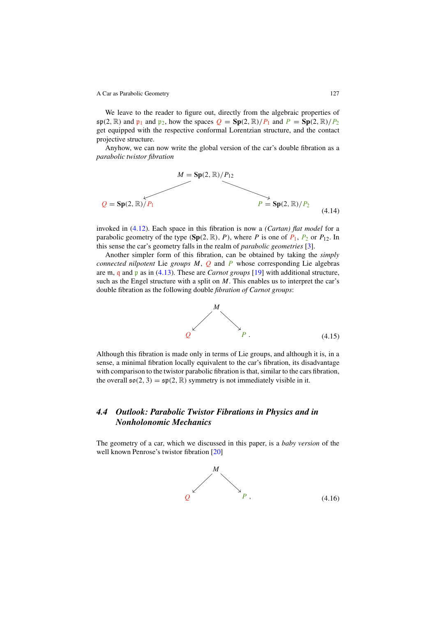We leave to the reader to figure out, directly from the algebraic properties of  $\mathfrak{sp}(2, \mathbb{R})$  and  $\mathfrak{p}_1$  and  $\mathfrak{p}_2$ , how the spaces  $Q = \mathbf{Sp}(2, \mathbb{R})/P_1$  and  $P = \mathbf{Sp}(2, \mathbb{R})/P_2$ get equipped with the respective conformal Lorentzian structure, and the contact projective structure.

Anyhow, we can now write the global version of the car's double fibration as a parabolic twistor *fi*bration



invoked in (4.12). Each space in this fibration is now a (Cartan) *fl*at model for a parabolic geometry of the type  $(\text{Sp}(2, \mathbb{R}), P)$ , where P is one of  $P_1$ ,  $P_2$  or  $P_{12}$ . In this sense the car's geometry falls in the realm of parabolic geometries [3].

Another simpler form of this fibration, can be obtained by taking the simply connected nilpotent Lie groups  $M$ ,  $Q$  and  $P$  whose corresponding Lie algebras are m, q and  $\mathfrak p$  as in (4.13). These are *Carnot groups* [19] with additional structure, such as the Engel structure with a split on  $M$ . This enables us to interpret the car's double fibration as the following double *fi*bration of Carnot groups:



Although this fibration is made only in terms of Lie groups, and although it is, in a sense, a minimal fibration locally equivalent to the car's fibration, its disadvantage with comparison to the twistor parabolic fibration is that, similar to the cars fibration, the overall  $\mathfrak{so}(2,3) = \mathfrak{sp}(2,\mathbb{R})$  symmetry is not immediately visible in it.

# *4.4 Outlook: Parabolic Twistor Fibrations in Physics and in Nonholonomic Mechanics*

The geometry of a car, which we discussed in this paper, is a baby version of the well known Penrose's twistor fibration [20]

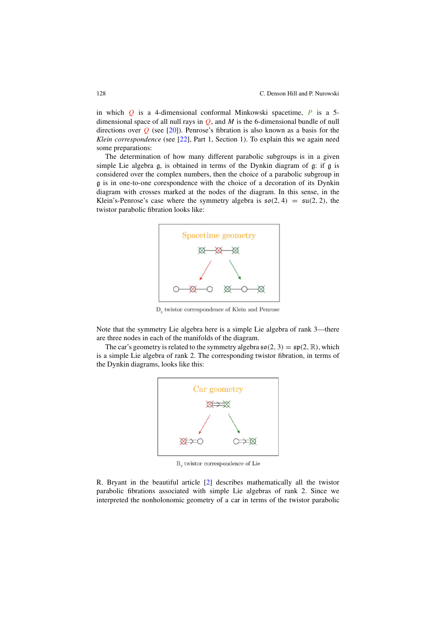in which  $Q$  is a 4-dimensional conformal Minkowski spacetime,  $P$  is a 5dimensional space of all null rays in  $Q$ , and  $M$  is the 6-dimensional bundle of null directions over  $Q$  (see [20]). Penrose's fibration is also known as a basis for the Klein correspondence (see [22], Part 1, Section 1). To explain this we again need some preparations:

The determination of how many different parabolic subgroups is in a given simple Lie algebra g, is obtained in terms of the Dynkin diagram of g: if g is considered over the complex numbers, then the choice of a parabolic subgroup in g is in one-to-one corespondence with the choice of a decoration of its Dynkin diagram with crosses marked at the nodes of the diagram. In this sense, in the Klein's-Penrose's case where the symmetry algebra is  $\mathfrak{so}(2, 4) = \mathfrak{su}(2, 2)$ , the twistor parabolic fibration looks like:



D<sub>3</sub> twistor correspondence of Klein and Penrose

Note that the symmetry Lie algebra here is a simple Lie algebra of rank 3—there are three nodes in each of the manifolds of the diagram.

The car's geometry is related to the symmetry algebra  $\mathfrak{so}(2,3) = \mathfrak{sp}(2,\mathbb{R})$ , which is a simple Lie algebra of rank 2. The corresponding twistor fibration, in terms of the Dynkin diagrams, looks like this:



B<sub>2</sub> twistor correspondence of Lie

R. Bryant in the beautiful article [2] describes mathematically all the twistor parabolic fibrations associated with simple Lie algebras of rank 2. Since we interpreted the nonholonomic geometry of a car in terms of the twistor parabolic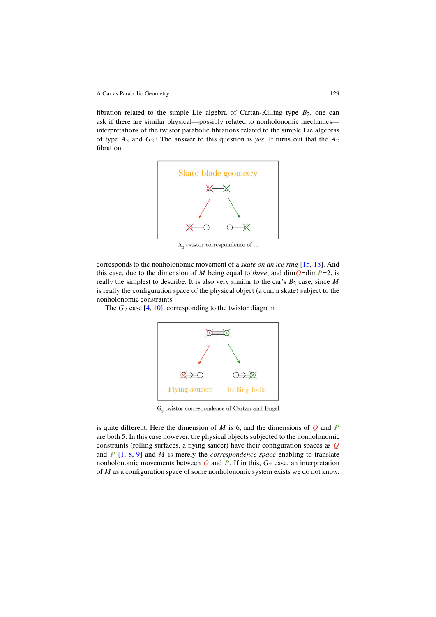fibration related to the simple Lie algebra of Cartan-Killing type  $B_2$ , one can ask if there are similar physical—possibly related to nonholonomic mechanics interpretations of the twistor parabolic fibrations related to the simple Lie algebras of type  $A_2$  and  $G_2$ ? The answer to this question is yes. It turns out that the  $A_2$ fibration



 $A_2$  twistor correspondence of ...

corresponds to the nonholonomic movement of a skate on an ice ring [15, 18]. And this case, due to the dimension of M being equal to three, and dim $Q=$ dim $P=2$ , is really the simplest to describe. It is also very similar to the car's  $B_2$  case, since M is really the configuration space of the physical object (a car, a skate) subject to the nonholonomic constraints.

The  $G_2$  case [4, 10], corresponding to the twistor diagram



 $\mathrm{G}_\mathrm{2}$ twistor correspondence of Cartan and Engel

is quite different. Here the dimension of  $M$  is 6, and the dimensions of  $Q$  and  $P$ are both 5. In this case however, the physical objects subjected to the nonholonomic constraints (rolling surfaces, a flying saucer) have their configuration spaces as  $Q$ and  $P$  [1, 8, 9] and M is merely the *correspondence space* enabling to translate nonholonomic movements between  $Q$  and  $P$ . If in this,  $G_2$  case, an interpretation of M as a configuration space of some nonholonomic system exists we do not know.